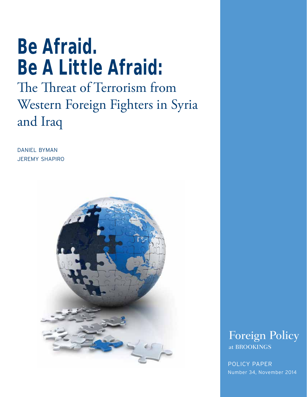# **Be Afraid. Be A Little Afraid:**

## The Threat of Terrorism from Western Foreign Fighters in Syria and Iraq

daniel byman **JEREMY SHAPIRO** 





POLICY PAPER Number 34, November 2014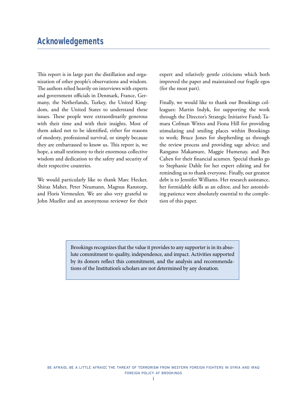This report is in large part the distillation and organization of other people's observations and wisdom. The authors relied heavily on interviews with experts and government officials in Denmark, France, Germany, the Netherlands, Turkey, the United Kingdom, and the United States to understand these issues. These people were extraordinarily generous with their time and with their insights. Most of them asked not to be identified, either for reasons of modesty, professional survival, or simply because they are embarrassed to know us. This report is, we hope, a small testimony to their enormous collective wisdom and dedication to the safety and security of their respective countries.

We would particularly like to thank Marc Hecker, Shiraz Maher, Peter Neumann, Magnus Ranstorp, and Floris Vermeulen. We are also very grateful to John Mueller and an anonymous reviewer for their expert and relatively gentle criticisms which both improved the paper and maintained our fragile egos (for the most part).

Finally, we would like to thank our Brookings colleagues: Martin Indyk, for supporting the work through the Director's Strategic Initiative Fund; Tamara Cofman Wittes and Fiona Hill for providing stimulating and smiling places within Brookings to work; Bruce Jones for shepherding us through the review process and providing sage advice; and Rangano Makamure, Maggie Humenay, and Ben Cahen for their financial acumen. Special thanks go to Stephanie Dahle for her expert editing and for reminding us to thank everyone. Finally, our greatest debt is to Jennifer Williams. Her research assistance, her formidable skills as an editor, and her astonishing patience were absolutely essential to the completion of this paper.

Brookings recognizes that the value it provides to any supporter is in its absolute commitment to quality, independence, and impact. Activities supported by its donors reflect this commitment, and the analysis and recommendations of the Institution's scholars are not determined by any donation.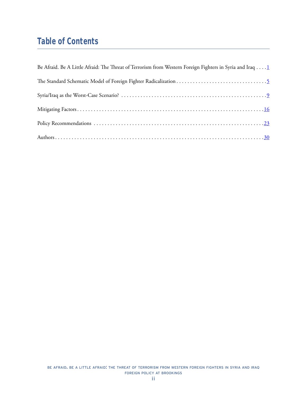## **Table of Contents**

| Be Afraid. Be A Little Afraid: The Threat of Terrorism from Western Foreign Fighters in Syria and Iraq 1 |
|----------------------------------------------------------------------------------------------------------|
|                                                                                                          |
|                                                                                                          |
|                                                                                                          |
|                                                                                                          |
|                                                                                                          |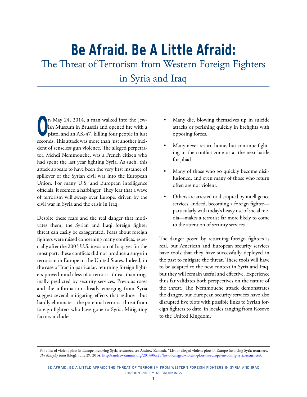## <span id="page-3-0"></span>**Be Afraid. Be A Little Afraid:** The Threat of Terrorism from Western Foreign Fighters

in Syria and Iraq

**O**n May 24, 2014, a man walked into the Jewish Museum in Brussels and opened fire with a pistol and an AK-47, killing four people in just ish Museum in Brussels and opened fire with a pistol and an AK-47, killing four people in just seconds. This attack was more than just another incident of senseless gun violence. The alleged perpetrator, Mehdi Nemmouche, was a French citizen who had spent the last year fighting Syria. As such, this attack appears to have been the very first instance of spillover of the Syrian civil war into the European Union. For many U.S. and European intelligence officials, it seemed a harbinger. They fear that a wave of terrorism will sweep over Europe, driven by the civil war in Syria and the crisis in Iraq.

Despite these fears and the real danger that motivates them, the Syrian and Iraqi foreign fighter threat can easily be exaggerated. Fears about foreign fighters were raised concerning many conflicts, especially after the 2003 U.S. invasion of Iraq; yet for the most part, these conflicts did not produce a surge in terrorism in Europe or the United States. Indeed, in the case of Iraq in particular, returning foreign fighters proved much less of a terrorist threat than originally predicted by security services. Previous cases and the information already emerging from Syria suggest several mitigating effects that reduce—but hardly eliminate—the potential terrorist threat from foreign fighters who have gone to Syria. Mitigating factors include:

- Many die, blowing themselves up in suicide attacks or perishing quickly in firefights with opposing forces.
- Many never return home, but continue fighting in the conflict zone or at the next battle for jihad.
- Many of those who go quickly become disillusioned, and even many of those who return often are not violent.
- Others are arrested or disrupted by intelligence services. Indeed, becoming a foreign fighter particularly with today's heavy use of social media—makes a terrorist far more likely to come to the attention of security services.

The danger posed by returning foreign fighters is real, but American and European security services have tools that they have successfully deployed in the past to mitigate the threat. These tools will have to be adapted to the new context in Syria and Iraq, but they will remain useful and effective. Experience thus far validates both perspectives on the nature of the threat. The Nemmouche attack demonstrates the danger, but European security services have also disrupted five plots with possible links to Syrian foreign fighters to date, in locales ranging from Kosovo to the United Kingdom.<sup>1</sup>

<sup>&</sup>lt;sup>1</sup> For a list of violent plots in Europe involving Syria returnees, see Andrew Zammit, "List of alleged violent plots in Europe involving Syria returnees," *The Murphy Raid* (blog), June 29, 2014,<http://andrewzammit.org/2014/06/29/list-of-alleged-violent-plots-in-europe-involving-syria-returnees/>.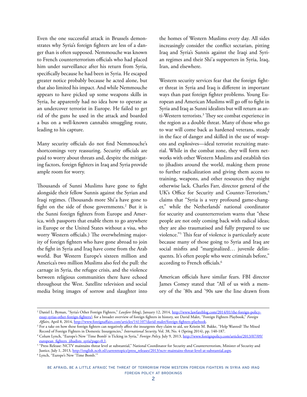Even the one successful attack in Brussels demonstrates why Syria's foreign fighters are less of a danger than is often supposed. Nemmouche was known to French counterterrorism officials who had placed him under surveillance after his return from Syria, specifically because he had been in Syria. He escaped greater notice probably because he acted alone, but that also limited his impact. And while Nemmouche appears to have picked up some weapons skills in Syria, he apparently had no idea how to operate as an undercover terrorist in Europe. He failed to get rid of the guns he used in the attack and boarded a bus on a well-known cannabis smuggling route, leading to his capture.

Many security officials do not find Nemmouche's shortcomings very reassuring. Security officials are paid to worry about threats and, despite the mitigating factors, foreign fighters in Iraq and Syria provide ample room for worry.

Thousands of Sunni Muslims have gone to fight alongside their fellow Sunnis against the Syrian and Iraqi regimes. (Thousands more Shi'a have gone to fight on the side of those governments.<sup>2</sup> But it is the Sunni foreign fighters from Europe and America, with passports that enable them to go anywhere in Europe or the United States without a visa, who worry Western officials.) The overwhelming majority of foreign fighters who have gone abroad to join the fight in Syria and Iraq have come from the Arab world. But Western Europe's sixteen million and America's two million Muslims also feel the pull: the carnage in Syria, the refugee crisis, and the violence between religious communities there have echoed throughout the West. Satellite television and social media bring images of sorrow and slaughter into

the homes of Western Muslims every day. All sides increasingly consider the conflict sectarian, pitting Iraq and Syria's Sunnis against the Iraqi and Syrian regimes and their Shi'a supporters in Syria, Iraq, Iran, and elsewhere.

Western security services fear that the foreign fighter threat in Syria and Iraq is different in important ways than past foreign fighter problems. Young European and American Muslims will go off to fight in Syria and Iraq as Sunni idealists but will return as anti-Western terrorists.3 They see combat experience in the region as a double threat. Many of those who go to war will come back as hardened veterans, steady in the face of danger and skilled in the use of weapons and explosives—ideal terrorist recruiting material. While in the combat zone, they will form networks with other Western Muslims and establish ties to jihadists around the world, making them prone to further radicalization and giving them access to training, weapons, and other resources they might otherwise lack. Charles Farr, director general of the UK's Office for Security and Counter-Terrorism,<sup>4</sup> claims that "Syria is a very profound game-changer," while the Netherlands' national coordinator for security and counterterrorism warns that "these people are not only coming back with radical ideas; they are also traumatised and fully prepared to use violence."5 This fear of violence is particularly acute because many of those going to Syria and Iraq are social misfits and "marginalized… juvenile delinquents. It's often people who were criminals before," according to French officials.<sup>6</sup>

American officials have similar fears. FBI director James Comey stated that "All of us with a memory of the '80s and '90s saw the line drawn from

<sup>2</sup> Daniel L. Byman, "Syria's Other Foreign Fighters," *Lawfare* (blog), January 12, 2014, [http://www.lawfareblog.com/2014/01/the-foreign-policy](http://www.lawfareblog.com/2014/01/the-foreign-policy-essay-syrias-other-foreign-fighters/)[essay-syrias-other-foreign-fighters/;](http://www.lawfareblog.com/2014/01/the-foreign-policy-essay-syrias-other-foreign-fighters/) for a broader overview of foreign fighters in history, see David Malet, "Foreign Fighters Playbook," *Foreign* 

<sup>&</sup>lt;sup>3</sup> For a take on how these foreign fighters can negatively affect the insurgents they claim to aid, see Kristin M. Bakke, "Help Wanted? The Mixed Record of Foreign Fighters in Domestic Insurgencies," *International Security,* Vol. 38, No. 4 (Spring 2014), pp. 140-187.

<sup>4</sup> Colum Lynch, "Europe's New 'Time Bomb' is Ticking in Syria," *Foreign Policy,* July 9, 2013, [http://www.foreignpolicy.com/articles/2013/07/09/](http://www.foreignpolicy.com/articles/2013/07/09/european_fighters_jihadists_syria?page=0,1) [european\\_fighters\\_jihadists\\_syria?page=0,1](http://www.foreignpolicy.com/articles/2013/07/09/european_fighters_jihadists_syria?page=0,1).

<sup>&</sup>lt;sup>5</sup> "Press Release: NCTV maintains threat level at substantial," National Coordinator for Security and Counterterrorism, Minister of Security and Justice, July 1, 2013, [http://english.nctb.nl/currenttopics/press\\_releases/2013/nctv-maintains-threat-level-at-substantial.aspx.](http://english.nctb.nl/currenttopics/press_releases/2013/nctv-maintains-threat-level-at-substantial.aspx)

<sup>6</sup> Lynch, "Europe's New 'Time Bomb.'"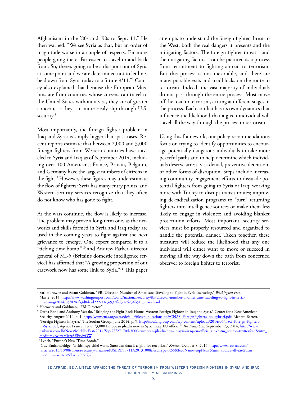Afghanistan in the '80s and '90s to Sept. 11." He then warned: "We see Syria as that, but an order of magnitude worse in a couple of respects. Far more people going there. Far easier to travel to and back from. So, there's going to be a diaspora out of Syria at some point and we are determined not to let lines be drawn from Syria today to a future 9/11."7 Comey also explained that because the European Muslims are from countries whose citizens can travel to the United States without a visa, they are of greater concern, as they can more easily slip through U.S. security.<sup>8</sup>

Most importantly, the foreign fighter problem in Iraq and Syria is simply bigger than past cases. Recent reports estimate that between 2,000 and 3,000 foreign fighters from Western countries have traveled to Syria and Iraq as of September 2014, including over 100 Americans; France, Britain, Belgium, and Germany have the largest numbers of citizens in the fight.<sup>9</sup> However, these figures may underestimate the flow of fighters: Syria has many entry points, and Western security services recognize that they often do not know who has gone to fight.

As the wars continue, the flow is likely to increase. The problem may prove a long-term one, as the networks and skills formed in Syria and Iraq today are used in the coming years to fight against the next grievance to emerge. One expert compared it to a "ticking time bomb,"10 and Andrew Parker, director general of MI-5 (Britain's domestic intelligence service) has affirmed that "A growing proportion of our casework now has some link to Syria."11 This paper

attempts to understand the foreign fighter threat to the West, both the real dangers it presents and the mitigating factors. The foreign fighter threat—and the mitigating factors—can be pictured as a process from recruitment to fighting abroad to terrorism. But this process is not inexorable, and there are many possible exits and roadblocks on the route to terrorism. Indeed, the vast majority of individuals do not pass through the entire process. Most move off the road to terrorism, exiting at different stages in the process. Each conflict has its own dynamics that influence the likelihood that a given individual will travel all the way through the process to terrorism.

Using this framework, our policy recommendations focus on trying to identify opportunities to encourage potentially dangerous individuals to take more peaceful paths and to help determine which individuals deserve arrest, visa denial, preventive detention, or other forms of disruption. Steps include increasing community engagement efforts to dissuade potential fighters from going to Syria or Iraq; working more with Turkey to disrupt transit routes; improving de-radicalization programs to "turn" returning fighters into intelligence sources or make them less likely to engage in violence; and avoiding blanket prosecution efforts. Most important, security services must be properly resourced and organized to handle the potential danger. Taken together, these measures will reduce the likelihood that any one individual will either want to move or succeed in moving all the way down the path from concerned observer to foreign fighter to terrorist.

<sup>7</sup> Sari Horowitz and Adam Goldman, "FBI Director: Number of Americans Traveling to Fight in Syria Increasing," *Washington Post*, May 2, 2014, [http://www.washingtonpost.com/world/national-security/fbi-director-number-of-americans-traveling-to-fight-in-syria](http://www.washingtonpost.com/world/national-security/fbi-director-number-of-americans-traveling-to-fight-in-syria-increasing/2014/05/02/6fa3d84e-d222-11e3-937f-d3026234b51c_story.html)[increasing/2014/05/02/6fa3d84e-d222-11e3-937f-d3026234b51c\\_story.html](http://www.washingtonpost.com/world/national-security/fbi-director-number-of-americans-traveling-to-fight-in-syria-increasing/2014/05/02/6fa3d84e-d222-11e3-937f-d3026234b51c_story.html).

<sup>8</sup> Horowitz and Goldman, "FBI Director."

<sup>9</sup> Dafna Rand and Anthony Vassalo, "Bringing the Fight Back Home: Western Foreign Fighters in Iraq and Syria," Center for a New American Security, August 2014, p. 1, [http://www.cnas.org/sites/default/files/publications-pdf/CNAS\\_ForeignFighters\\_policybrief.pdf;](http://www.cnas.org/sites/default/files/publications-pdf/CNAS_ForeignFighters_policybrief.pdf) Richard Barrett, "Foreign Fighters in Syria," The Soufan Group, June 2014, p. 9, [http://soufangroup.com/wp-content/uploads/2014/06/TSG-Foreign-Fighters](http://soufangroup.com/wp-content/uploads/2014/06/TSG-Foreign-Fighters-in-Syria.pdf)[in-Syria.pdf](http://soufangroup.com/wp-content/uploads/2014/06/TSG-Foreign-Fighters-in-Syria.pdf); Agence France Presse, "3,000 European jihadis now in Syria, Iraq: EU official," *The Daily Star,* September 23, 2014, http://www. dailystar.com.lb/News/Middle-East/2014/Sep-23/271704-3000-european-jihadis-now-in-syria-iraq-eu-official.ashx?utm\_source=twitterfeed&utm\_ medium=twitter#ixzz3EEtvjyOW. 10 Lynch, "Europe's New 'Time Bomb.'"

<sup>11</sup> Guy Faulconbridge, "British spy chief warns Snowden data is a 'gift' for terrorists," *Reuters*, October 8, 2013, [http://www.reuters.com/](http://www.reuters.com/article/2013/10/08/us-usa-security-britain-idUSBRE99711A20131008?feedType=RSS&feedName=topNews&utm_source=dlvr.it&utm_medium=twitter&dlvrit=992637) [article/2013/10/08/us-usa-security-britain-idUSBRE99711A20131008?feedType=RSS&feedName=topNews&utm\\_source=dlvr.it&utm\\_](http://www.reuters.com/article/2013/10/08/us-usa-security-britain-idUSBRE99711A20131008?feedType=RSS&feedName=topNews&utm_source=dlvr.it&utm_medium=twitter&dlvrit=992637) [medium=twitter&dlvrit=992637.](http://www.reuters.com/article/2013/10/08/us-usa-security-britain-idUSBRE99711A20131008?feedType=RSS&feedName=topNews&utm_source=dlvr.it&utm_medium=twitter&dlvrit=992637)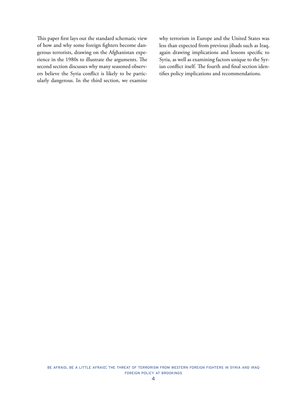This paper first lays out the standard schematic view of how and why some foreign fighters become dangerous terrorists, drawing on the Afghanistan experience in the 1980s to illustrate the arguments. The second section discusses why many seasoned observers believe the Syria conflict is likely to be particularly dangerous. In the third section, we examine why terrorism in Europe and the United States was less than expected from previous jihads such as Iraq, again drawing implications and lessons specific to Syria, as well as examining factors unique to the Syrian conflict itself. The fourth and final section identifies policy implications and recommendations.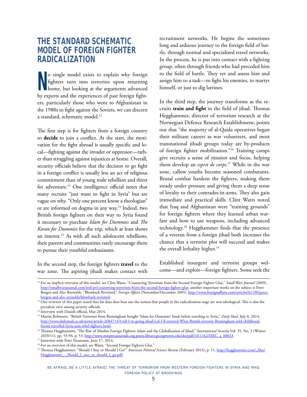## <span id="page-7-0"></span>**THE STANDARD SCHEMATIC MODEL OF FOREIGN FIGHTER RADICALIZATION**

**N** o single model exists to explain why foreign fighters turn into terrorists upon returning home, but looking at the arguments advanced by experts and the experiences of past foreign fighters, particularly those who went to Afghanistan in the 1980s to fight against the Soviets, we can discern a standard, schematic model.12

The first step is for fighters from a foreign country to **decide** to join a conflict. At the start, the motivation for the fight abroad is usually specific and local—fighting against the invader or oppressor—rather than struggling against injustices at home. Overall, security officials believe that the decision to go fight in a foreign conflict is usually less an act of religious commitment than of young male rebellion and thirst for adventure.13 One intelligence official notes that many recruits "just want to fight in Syria" but are vague on why. "Only one percent know a theologian" or are informed on dogma in any way.<sup>14</sup> Indeed, two British foreign fighters on their way to Syria found it necessary to purchase *Islam for Dummies* and *The Koran for Dummies* for the trip, which at least shows an interest.15 As with all such adolescent rebellions, their parents and communities rarely encourage them to pursue their youthful enthusiasms.

In the second step, the foreign fighters **travel** to the war zone. The aspiring jihadi makes contact with recruitment networks. He begins the sometimes long and arduous journey to the foreign field of battle, through normal and specialized travel networks. In the process, he is put into contact with a fighting group, often through friends who had preceded him to the field of battle. They vet and assess him and assign him to a task—to fight his enemies, to martyr himself, or just to dig latrines.

In the third step, the journey transforms as the recruits **train and fight** in the field of jihad. Thomas Hegghammer, director of terrorism research at the Norwegian Defence Research Establishment, points out that "the majority of al-Qaida operatives began their militant careers as war volunteers, and most transnational jihadi groups today are by-products of foreign fighter mobilization."16 Training camps give recruits a sense of mission and focus, helping them develop an *esprit de corps*. 17 While in the war zone, callow youths become seasoned combatants. Brutal combat hardens the fighters, making them steady under pressure and giving them a deep sense of loyalty to their comrades-in-arms. They also gain immediate and practical skills. Clint Watts noted that Iraq and Afghanistan were "training grounds" for foreign fighters where they learned urban warfare and how to use weapons, including advanced technology.18 Hegghammer finds that the presence of a veteran from a foreign jihad both increases the chance that a terrorist plot will succeed and makes the overall lethality higher.<sup>19</sup>

Established insurgent and terrorist groups welcome—and exploit—foreign fighters. Some seek the

<sup>14</sup> Interview with Danish official, May 2014.

<sup>&</sup>lt;sup>12</sup> For an implicit overview of this model, see Clint Watts, "Countering Terrorism from the Second Foreign Fighter Glut," Small Wars Journal (2009), [http://smallwarsjournal.com/jrnl/art/countering-terrorism-from-the-second-foreign-fighter-glut;](http://smallwarsjournal.com/jrnl/art/countering-terrorism-from-the-second-foreign-fighter-glut) another important works on the subject is Peter Bergen and Alec Reynolds, "Blowback Revisited," *Foreign Affairs* (November/December 2005), [http://www.foreignaffairs.com/articles/61190/peter](http://www.foreignaffairs.com/articles/61190/peter-bergen-and-alec-reynolds/blowback-revisited)[bergen-and-alec-reynolds/blowback-revisited;](http://www.foreignaffairs.com/articles/61190/peter-bergen-and-alec-reynolds/blowback-revisited)

<sup>&</sup>lt;sup>13</sup> One reviewer of this paper stated that his data does bear out the notion that people in the radicalization stage are non-ideological. This is also the prevalent view among security officials.

<sup>15</sup> Martin Robinson, "British Terrorists from Birmingham bought 'Islam for Dummies' book before traveling to Syria," *Daily Mail,* July 8, 2014, [http://www.dailymail.co.uk/news/article-2684714/I-tell-I-m-going-jihad-Lol-I-ll-arrested-What-British-terrorist-Birmingham-told-childhood-](http://www.dailymail.co.uk/news/article-2684714/I-tell-I-m-going-jihad-Lol-I-ll-arrested-What-British-terrorist-Birmingham-told-childhood-friend-travelled-Syria-join-rebel-fighters.html)

[friend-travelled-Syria-join-rebel-fighters.html](http://www.dailymail.co.uk/news/article-2684714/I-tell-I-m-going-jihad-Lol-I-ll-arrested-What-British-terrorist-Birmingham-told-childhood-friend-travelled-Syria-join-rebel-fighters.html). 16 Thomas Hegghammer, "The Rise of Muslim Foreign Fighters: Islam and the Globalization of Jihad," *International Security* Vol. 35, No. 3 (Winter 2010/11), pp. 53-94, p. 53, <u>[http://www.mitpressjournals.org.proxy.library.georgetown.edu/doi/pdf/10.1162/ISEC\\_a\\_00023](http://www.mitpressjournals.org.proxy.library.georgetown.edu/doi/pdf/10.1162/ISEC_a_00023)</u>.<br><sup>17</sup> Interview with Peter Neumann, June 17, 2014.

<sup>&</sup>lt;sup>18</sup> For an overview of this model, see Watts, "Second Foreign Fighters Glut."

<sup>&</sup>lt;sup>19</sup> Thomas Hegghammer, "Should I Stay or Should I Go?" *American Political Science Review* (February 2013), p. 11, [http://hegghammer.com/\\_files/](http://hegghammer.com/_files/Hegghammer_-_Should_I_stay_or_should_I_go.pdf) Hegghammer - Should I stay or should I go.pdf.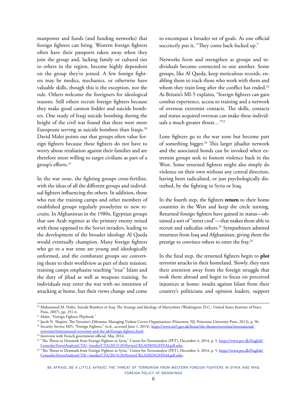manpower and funds (and funding networks) that foreign fighters can bring. Western foreign fighters often have their passports taken away when they join the group and, lacking family or cultural ties to others in the region, become highly dependent on the group they've joined. A few foreign fighters may be medics, mechanics, or otherwise have valuable skills, though this is the exception, not the rule. Others welcome the foreigners for ideological reasons. Still others recruit foreign fighters because they make good cannon fodder and suicide bombers. One study of Iraqi suicide bombing during the height of the civil war found that there were more Europeans serving as suicide bombers than Iraqis.<sup>20</sup> David Malet points out that groups often value foreign fighters because these fighters do not have to worry about retaliation against their families and are therefore more willing to target civilians as part of a group's efforts.<sup>21</sup>

In the war zone, the fighting groups cross-fertilize, with the ideas of all the different groups and individual fighters influencing the others. In addition, those who run the training camps and other members of established groups regularly proselytize to new recruits. In Afghanistan in the 1980s, Egyptian groups that saw Arab regimes as the primary enemy mixed with those opposed to the Soviet invaders, leading to the development of the broader ideology Al Qaeda would eventually champion. Many foreign fighters who go to a war zone are young and ideologically unformed, and the combatant groups see converting them to their worldview as part of their mission: training camps emphasize teaching "true" Islam and the duty of jihad as well as weapons training. So individuals may enter the war with no intention of attacking at home, but their views change and come

to encompass a broader set of goals. As one official succinctly put it, "They come back fucked up."

Networks form and strengthen as groups and individuals become connected to one another. Some groups, like Al Qaeda, keep meticulous records, enabling them to track those who work with them and whom they train long after the conflict has ended.<sup>22</sup> As Britain's MI-5 explains, "foreign fighters can gain combat experience, access to training and a network of overseas extremist contacts. The skills, contacts and status acquired overseas can make these individuals a much greater threat…"23

Lone fighters go to the war zone but become part of something bigger.<sup>24</sup> This larger jihadist network and the associated bonds can be invoked when extremist groups seek to foment violence back in the West. Some returned fighters might also simply do violence on their own without any central direction, having been radicalized, or just psychologically disturbed, by the fighting in Syria or Iraq.

In the fourth step, the fighters **return** to their home countries in the West and keep the circle turning. Returned foreign fighters have gained in status—obtained a sort of "street cred"—that makes them able to recruit and radicalize others.<sup>25</sup> Sympathizers admired returnees from Iraq and Afghanistan, giving them the prestige to convince others to enter the fray.<sup>26</sup>

In the final step, the returned fighters begin to **plot** terrorist attacks in their homeland. Slowly, they turn their attention away from the foreign struggle that took them abroad and begin to focus on perceived injustices at home: insults against Islam from their country's politicians and opinion leaders, support

<sup>20</sup> Mohammed M. Hafez, Suicide Bombers in Iraq: The Strategy and Ideology of Martyrdom (Washington, D.C.: United States Institute of Peace Press, 2007), pp. 251-4.

<sup>21</sup> Malet, "Foreign Fighters Playbook."

<sup>&</sup>lt;sup>22</sup> Jacob N. Shapiro, The Terrorist's Dilemma: Managing Violent Covert Organizations (Princeton, NJ: Princeton University Press, 2013), p. 96.

<sup>&</sup>lt;sup>23</sup> Security Service MI5, "Foreign Fighters," (n.d., accessed June 1, 2014), [https://www.mi5.gov.uk/home/the-threats/terrorism/international-](https://www.mi5.gov.uk/home/the-threats/terrorism/international-terrorism/international-terrorism-and-the-uk/foreign-fighters.html)

[terrorism/international-terrorism-and-the-uk/foreign-fighters.html.](https://www.mi5.gov.uk/home/the-threats/terrorism/international-terrorism/international-terrorism-and-the-uk/foreign-fighters.html)

<sup>&</sup>lt;sup>24</sup> Interview with French government official, May 2014.

<sup>&</sup>lt;sup>25 "</sup>The Threat to Denmark from Foreign Fighters in Syria," Center for Terroranalyse (PET), December 4, 2014, p. 5, [https://www.pet.dk/English/](https://www.pet.dk/English/CenterforTerrorAnalysisCTA/~/media/CTA/20131203SyrienUKLASSENGFINALpdf.ashx) [CenterforTerrorAnalysisCTA/~/media/CTA/20131203SyrienUKLASSENGFINALpdf.ashx.](https://www.pet.dk/English/CenterforTerrorAnalysisCTA/~/media/CTA/20131203SyrienUKLASSENGFINALpdf.ashx)

<sup>&</sup>lt;sup>26</sup> "The Threat to Denmark from Foreign Fighters in Syria," Center for Terroranalyse (PET), December 4, 2014, p. 5, [https://www.pet.dk/English/](https://www.pet.dk/English/CenterforTerrorAnalysisCTA/~/media/CTA/20131203SyrienUKLASSENGFINALpdf.ashx) [CenterforTerrorAnalysisCTA/~/media/CTA/20131203SyrienUKLASSENGFINALpdf.ashx.](https://www.pet.dk/English/CenterforTerrorAnalysisCTA/~/media/CTA/20131203SyrienUKLASSENGFINALpdf.ashx)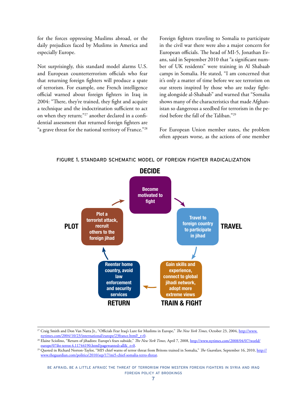for the forces oppressing Muslims abroad, or the daily prejudices faced by Muslims in America and especially Europe.

Not surprisingly, this standard model alarms U.S. and European counterterrorism officials who fear that returning foreign fighters will produce a spate of terrorism. For example, one French intelligence official warned about foreign fighters in Iraq in 2004: "There, they're trained, they fight and acquire a technique and the indoctrination sufficient to act on when they return;"27 another declared in a confidential assessment that returned foreign fighters are "a grave threat for the national territory of France."<sup>28</sup>

Foreign fighters traveling to Somalia to participate in the civil war there were also a major concern for European officials. The head of MI-5, Jonathan Evans, said in September 2010 that "a significant number of UK residents" were training in Al Shabaab camps in Somalia. He stated, "I am concerned that it's only a matter of time before we see terrorism on our streets inspired by those who are today fighting alongside al-Shabaab" and warned that "Somalia shows many of the characteristics that made Afghanistan so dangerous a seedbed for terrorism in the period before the fall of the Taliban."29

For European Union member states, the problem often appears worse, as the actions of one member



figure 1. standard schematic model of foreign fighter radicalization

<sup>27</sup> Craig Smith and Don Van Natta Jr., "Officials Fear Iraq's Lure for Muslims in Europe," *The New York Times,* October 23, 2004, [http://www.](http://www.nytimes.com/2004/10/23/international/europe/23france.html?_r=0) [nytimes.com/2004/10/23/international/europe/23france.html?\\_r=0](http://www.nytimes.com/2004/10/23/international/europe/23france.html?_r=0).

<sup>28</sup> Elaine Sciolino, "Return of jihadists: Europe's fears subside," *The New York Times,* April 7, 2008, [http://www.nytimes.com/2008/04/07/world/](http://www.nytimes.com/2008/04/07/world/europe/07iht-terror.4.11744190.html?pagewanted=all&_r=0) [europe/07iht-terror.4.11744190.html?pagewanted=all&\\_r=0](http://www.nytimes.com/2008/04/07/world/europe/07iht-terror.4.11744190.html?pagewanted=all&_r=0).

<sup>29</sup> Quoted in Richard Norton-Taylor, "MI5 chief warns of terror threat from Britons trained in Somalia," *The Guardian*, September 16, 2010, [http://](http://www.theguardian.com/politics/2010/sep/17/mi5-chief-somalia-terro-threat) [www.theguardian.com/politics/2010/sep/17/mi5-chief-somalia-terro-threat](http://www.theguardian.com/politics/2010/sep/17/mi5-chief-somalia-terro-threat).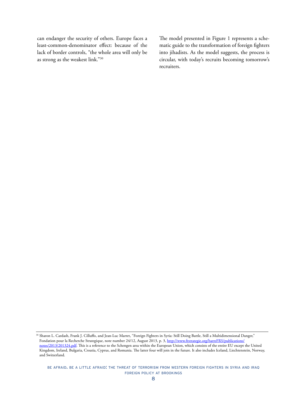can endanger the security of others. Europe faces a least-common-denominator effect: because of the lack of border controls, "the whole area will only be as strong as the weakest link."30

The model presented in Figure 1 represents a schematic guide to the transformation of foreign fighters into jihadists. As the model suggests, the process is circular, with today's recruits becoming tomorrow's recruiters.

<sup>&</sup>lt;sup>30</sup> Sharon L. Cardash, Frank J. Cilluffo, and Jean-Luc Marret, "Foreign Fighters in Syria: Still Doing Battle, Still a Multidimensional Danger," Fondation pour la Recherche Strategique, note number 24/12, August 2013, p. 3, [http://www.frstrategie.org/barreFRS/publications/](http://www.frstrategie.org/barreFRS/publications/notes/2013/201324.pdf) [notes/2013/201324.pdf.](http://www.frstrategie.org/barreFRS/publications/notes/2013/201324.pdf) This is a reference to the Schengen area within the European Union, which consists of the entire EU except the United Kingdom, Ireland, Bulgaria, Croatia, Cyprus, and Romania. The latter four will join in the future. It also includes Iceland, Liechtenstein, Norway, and Switzerland.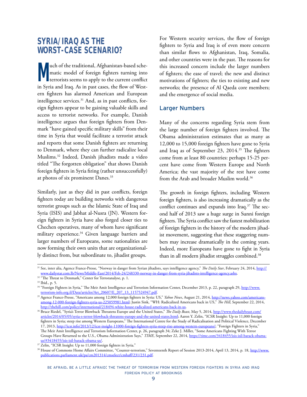## <span id="page-11-0"></span>**SYRIA/IRAQ AS THE WORST-CASE SCENARIO?**

**Much of the traditional, Afghanistan-based sche-**<br>matic model of foreign fighters turning into<br>terrorists seems to apply to the current conflict matic model of foreign fighters turning into terrorists seems to apply to the current conflict in Syria and Iraq. As in past cases, the flow of Western fighters has alarmed American and European intelligence services.<sup>31</sup> And, as in past conflicts, foreign fighters appear to be gaining valuable skills and access to terrorist networks. For example, Danish intelligence argues that foreign fighters from Denmark "have gained specific military skills" from their time in Syria that would facilitate a terrorist attack and reports that some Danish fighters are returning to Denmark, where they can further radicalize local Muslims.32 Indeed, Danish jihadists made a video titled "The forgotten obligation" that shows Danish foreign fighters in Syria firing (rather unsuccessfully) at photos of six prominent Danes.<sup>33</sup>

Similarly, just as they did in past conflicts, foreign fighters today are building networks with dangerous terrorist groups such as the Islamic State of Iraq and Syria (ISIS) and Jabhat al-Nusra (JN). Western foreign fighters in Syria have also forged closer ties to Chechen operatives, many of whom have significant military experience.34 Given language barriers and larger numbers of Europeans, some nationalities are now forming their own units that are organizationally distinct from, but subordinate to, jihadist groups.

For Western security services, the flow of foreign fighters to Syria and Iraq is of even more concern than similar flows to Afghanistan, Iraq, Somalia, and other countries were in the past. The reasons for this increased concern include the larger numbers of fighters; the ease of travel; the new and distinct motivations of fighters; the ties to existing and new networks; the presence of Al Qaeda core members; and the emergence of social media.

## Larger Numbers

Many of the concerns regarding Syria stem from the large number of foreign fighters involved. The Obama administration estimates that as many as 12,000 to 15,000 foreign fighters have gone to Syria and Iraq as of September 23, 2014.35 The fighters come from at least 80 countries: perhaps 15-25 percent have come from Western Europe and North America; the vast majority of the rest have come from the Arab and broader Muslim world.<sup>36</sup>

The growth in foreign fighters, including Western foreign fighters, is also increasing dramatically as the conflict continues and expands into Iraq.<sup>37</sup> The second half of 2013 saw a huge surge in Sunni foreign fighters. The Syria conflict saw the fastest mobilization of foreign fighters in the history of the modern jihadist movement, suggesting that these staggering numbers may increase dramatically in the coming years. Indeed, more Europeans have gone to fight in Syria than in all modern jihadist struggles combined.<sup>38</sup>

<sup>31</sup> See, inter alia, Agence France-Presse*,* "Norway in danger from Syrian jihadists, says intelligence agency," *The Daily Star*, February 24, 2014, [http://](http://www.dailystar.com.lb/News/Middle-East/2014/Feb-24/248330-norway-in-danger-from-syria-jihadists-intelligence-agency.ashx) [www.dailystar.com.lb/News/Middle-East/2014/Feb-24/248330-norway-in-danger-from-syria-jihadists-intelligence-agency.ashx.](http://www.dailystar.com.lb/News/Middle-East/2014/Feb-24/248330-norway-in-danger-from-syria-jihadists-intelligence-agency.ashx)

<sup>&</sup>lt;sup>32</sup> "The Threat to Denmark," Center for Terroranalyse, p. 1.

<sup>33</sup> Ibid., p. 5.

<sup>&</sup>lt;sup>34</sup> "Foreign Fighters in Syria," The Meir Amit Intelligence and Terrorism Information Center, December 2013, p. 22, paragraph 29, [http://www.](http://www.terrorism-info.org.il/Data/articles/Art_20607/E_207_13_1157524947.pdf)<br>
<u>terrorism-info.org.il/Data/articles/Art\_20607/E\_207\_13\_1157524947.pdf</u>.

<sup>&</sup>lt;sup>35</sup> Agence France-Presse, "Americans among 12,000 foreign fighters in Syria: US," *Yahoo News*, August 21, 2014, [http://news.yahoo.com/americans](http://news.yahoo.com/americans-among-12-000-foreign-fighters-syria-us-225059981.html)[among-12-000-foreign-fighters-syria-us-225059981.html](http://news.yahoo.com/americans-among-12-000-foreign-fighters-syria-us-225059981.html); Justin Sink, "WH: Radicalized Americans back in US," *The Hill*, September 22, 2014, <http://thehill.com/policy/international/218494-white-house-radicalized-americans-back-in-us>.

<sup>&</sup>lt;sup>36</sup> Bruce Riedel, "Syria's Terror Blowback Threatens Europe and the United States," *The Daily Beast*, May 5, 2014, [http://www.thedailybeast.com/](http://www.thedailybeast.com/articles/2014/05/05/syria-s-terror-blowback-threatens-europe-and-the-united-states.html) [articles/2014/05/05/syria-s-terror-blowback-threatens-europe-and-the-united-states.html](http://www.thedailybeast.com/articles/2014/05/05/syria-s-terror-blowback-threatens-europe-and-the-united-states.html); Aaron Y. Zelin, "ICSR Insight: Up to 11,000 foreign fighters in Syria; steep rise among Western Europeans," The International Centre for the Study of Radicalisation and Political Violence, December 17, 2013, [http://icsr.info/2013/12/icsr-insight-11000-foreign-fighters-syria-steep-rise-among-western-europeans/;](http://icsr.info/2013/12/icsr-insight-11000-foreign-fighters-syria-steep-rise-among-western-europeans/) "Foreign Fighters in Syria," The Meir Amit Intelligence and Terrorism Information Center, p. 26, paragraph 34; Zeke J. Miller, "Some Americans Fighting With Terror Groups Have Returned to the U.S., Obama Administration Says," *TIME*, September 22, 2014, <u>https://time.com/3418455/isis-isil-barack-obama-us/#3418455/isis-isil-barack-obama-us/#3418455/isis-isil-barack-obama-us/</u>

<sup>&</sup>lt;sup>37</sup> Zelin, "ICSR Insight: Up to 11,000 foreign fighters in Syria."

<sup>&</sup>lt;sup>38</sup> House of Commons Home Affairs Committee, "Counter-terrorism," Seventeenth Report of Session 2013-2014, April 13, 2014, p. 18, [http://www.](http://www.publications.parliament.uk/pa/cm201314/cmselect/cmhaff/231/231.pdf) [publications.parliament.uk/pa/cm201314/cmselect/cmhaff/231/231.pdf](http://www.publications.parliament.uk/pa/cm201314/cmselect/cmhaff/231/231.pdf).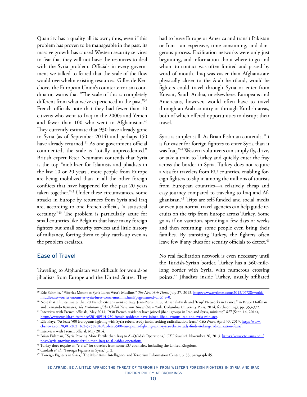Quantity has a quality all its own; thus, even if this problem has proven to be manageable in the past, its massive growth has caused Western security services to fear that they will not have the resources to deal with the Syria problem. Officials in every government we talked to feared that the scale of the flow would overwhelm existing resources. Gilles de Kerchove, the European Union's counterterrorism coordinator, warns that "The scale of this is completely different from what we've experienced in the past."<sup>39</sup> French officials note that they had fewer than 10 citizens who went to Iraq in the 2000s and Yemen and fewer than 100 who went to Afghanistan.<sup>40</sup> They currently estimate that 930 have already gone to Syria (as of September 2014) and perhaps 150 have already returned.<sup>41</sup> As one government official commented, the scale is "totally unprecedented." British expert Peter Neumann contends that Syria is the top "mobilizer for Islamists and jihadists in the last 10 or 20 years...more people from Europe are being mobilized than in all the other foreign conflicts that have happened for the past 20 years taken together."42 Under these circumstances, some attacks in Europe by returnees from Syria and Iraq are, according to one French official, "a statistical certainty."43 The problem is particularly acute for small countries like Belgium that have many foreign fighters but small security services and little history of militancy, forcing them to play catch-up even as the problem escalates.

## Ease of Travel

Traveling to Afghanistan was difficult for would-be jihadists from Europe and the United States. They had to leave Europe or America and transit Pakistan or Iran—an expensive, time-consuming, and dangerous process. Facilitation networks were only just beginning, and information about where to go and whom to contact was often limited and passed by word of mouth. Iraq was easier than Afghanistan: physically closer to the Arab heartland, would-be fighters could travel through Syria or enter from Kuwait, Saudi Arabia, or elsewhere. Europeans and Americans, however, would often have to travel through an Arab country or through Kurdish areas, both of which offered opportunities to disrupt their travel.

Syria is simpler still. As Brian Fishman contends, "it is far easier for foreign fighters to enter Syria than it was Iraq."44 Western volunteers can simply fly, drive, or take a train to Turkey and quickly enter the fray across the border in Syria. Turkey does not require a visa for travelers from EU countries, enabling foreign fighters to slip in among the millions of tourists from European countries—a relatively cheap and easy journey compared to traveling to Iraq and Afghanistan.45 Trips are self-funded and social media or even just normal travel agencies can help guide recruits on the trip from Europe across Turkey. Some go as if on vacation, spending a few days or weeks and then returning; some people even bring their families. By transiting Turkey, the fighters often leave few if any clues for security officials to detect.<sup>46</sup>

No real facilitation network is even necessary until the Turkish-Syrian border. Turkey has a 560-milelong border with Syria, with numerous crossing points.47 Jihadists inside Turkey, usually affiliated

46 Cardash *et al.,* "Foreign Fighters in Syria," p. 2.

<sup>39</sup> Eric Schmitt, "Worries Mount as Syria Lures West's Muslims," *The New York Times,* July 27, 2013, [http://www.nytimes.com/2013/07/28/world/](http://www.nytimes.com/2013/07/28/world/middleeast/worries-mount-as-syria-lures-wests-muslims.html?pagewanted=all&_r=0) [middleeast/worries-mount-as-syria-lures-wests-muslims.html?pagewanted=all&\\_r=0](http://www.nytimes.com/2013/07/28/world/middleeast/worries-mount-as-syria-lures-wests-muslims.html?pagewanted=all&_r=0).

<sup>40</sup> Note that Filiu estimates that 20 French citizens went to Iraq. Jean-Pierre Filiu, "Ansar al-Fatah and 'Iraqi' Networks in France," in Bruce Hoffman and Fernando Reinares, *The Evolution of the Global Terrorism Threat* (New York: Columbia University Press, 2014, forthcoming)*,* pp. 353-372.

<sup>41</sup> Interview with French officials, May 2014; "930 French residents have joined jihadi groups in Iraq and Syria, minister," *RFI* (Sept. 14, 2014), <http://www.english.rfi.fr/france/20140914-930-french-residents-have-joined-jihadi-groups-iraq-and-syria-minister>.

<sup>&</sup>lt;sup>42</sup> Ella Flaye, "At least 500 Europeans fighting with Syria rebels, study finds, stoking radicalization fears," *CBS News*, April 30, 2013, [http://www.](http://www.cbsnews.com/8301-202_162-57582040/at-least-500-europeans-fighting-with-syria-rebels-study-finds-stoking-radicalization-fears/) [cbsnews.com/8301-202\\_162-57582040/at-least-500-europeans-fighting-with-syria-rebels-study-finds-stoking-radicalization-fears/](http://www.cbsnews.com/8301-202_162-57582040/at-least-500-europeans-fighting-with-syria-rebels-study-finds-stoking-radicalization-fears/). 43 Interview with French official, May 2014.

<sup>44</sup> Brian Fishman, "Syria Proving More Fertile than Iraq to Al-Qa'ida's Operations," *CTC Sentinel,* November 26, 2013. [https://www.ctc.usma.edu/](https://www.ctc.usma.edu/posts/syria-proving-more-fertile-than-iraq-to-al-qaidas-operations) [posts/syria-proving-more-fertile-than-iraq-to-al-qaidas-operations](https://www.ctc.usma.edu/posts/syria-proving-more-fertile-than-iraq-to-al-qaidas-operations).

<sup>&</sup>lt;sup>45</sup> Turkey does require an "e-visa" for travelers from some EU countries, including the United Kingdom.

<sup>47 &</sup>quot;Foreign Fighters in Syria," The Meir Amit Intelligence and Terrorism Information Center, p. 33, paragraph 45.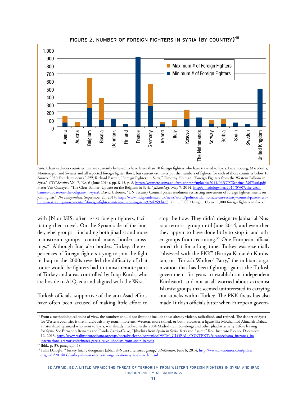

FIGURE 2. NUMBER OF FOREIGN FIGHTERS IN SYRIA (BY COUNTRY)<sup>48</sup>

*Note:* Chart excludes countries that are currently believed to have fewer than 10 foreign fighters who have traveled to Syria. Luxembourg, Macedonia, Montenegro, and Switzerland all reported foreign fighter flows, but current estimates put the numbers of fighters for each of those countries below 10. *Sources:* "930 French residents," *RFI*; Richard Barrett, "Foreign Fighters in Syria;" Timothy Holman, "Foreign Fighters from the Western Balkans in Syria*,*" *CTC Sentinel* Vol. 7, No. 6 (June 2014), pp. 8-13, p. 8, <https://www.ctc.usma.edu/wp-content/uploads/2014/06/CTCSentinel-Vol7Iss6.pdf>; Pieter Van Ostaeyen, "The Clear Banner: Update on the Belgians in Syria," *Jihadology*, May 7, 2014, [http://jihadology.net/2014/05/07/the-clear](http://jihadology.net/2014/05/07/the-clear-banner-update-on-the-belgians-in-syria/)[banner-update-on-the-belgians-in-syria/;](http://jihadology.net/2014/05/07/the-clear-banner-update-on-the-belgians-in-syria/) David Usborne, "UN Security Council passes resolution restricting movement of foreign fighters intent on joining Isis," The Independent, September 25, 2014, [http://www.independent.co.uk/news/world/politics/islamic-state-un-security-council-passes-reso](http://www.independent.co.uk/news/world/politics/islamic-state-un-security-council-passes-resolution-restricting-movement-of-foreign-fighters-intent-on-joining-isis-9754269.html)[lution-restricting-movement-of-foreign-fighters-intent-on-joining-isis-9754269.html;](http://www.independent.co.uk/news/world/politics/islamic-state-un-security-council-passes-resolution-restricting-movement-of-foreign-fighters-intent-on-joining-isis-9754269.html) Zelin, "ICSR Insight: Up to 11,000 foreign fighters in Syria."

with JN or ISIS, often assist foreign fighters, facilitating their travel. On the Syrian side of the border, rebel groups—including both jihadist and more mainstream groups—control many border crossings.49 Although Iraq also borders Turkey, the experiences of foreign fighters trying to join the fight in Iraq in the 2000s revealed the difficulty of that route: would-be fighters had to transit remote parts of Turkey and areas controlled by Iraqi Kurds, who are hostile to Al Qaeda and aligned with the West.

Turkish officials, supportive of the anti-Asad effort, have often been accused of making little effort to

stop the flow. They didn't designate Jabhat al-Nusra a terrorist group until June 2014, and even then they appear to have done little to stop it and other groups from recruiting.<sup>50</sup> One European official noted that for a long time, Turkey was essentially "obsessed with the PKK" (Partiya Karkerên Kurdistan, or "Turkish Workers' Party," the militant organization that has been fighting against the Turkish government for years to establish an independent Kurdistan), and not at all worried about extremist Islamist groups that seemed uninterested in carrying out attacks within Turkey. The PKK focus has also made Turkish officials bitter when European govern-

<sup>48</sup> From a methodological point of view, the numbers should not (but do) include those already violent, radicalized, and trained. The danger of Syria for Western countries is that individuals may return more anti-Western, more skilled, or both. However, a figure like Mouhannad Almallah Dabas, a naturalized Spaniard who went to Syria, was already involved in the 2004 Madrid train bombings and other jihadist activity before leaving for Syria. See Fernando Reinares and Carola Garcia-Calvo, "Jihadists from Spain in Syria: facts and figures," Real Instituto Elcano, December 12, 2013, [http://www.realinstitutoelcano.org/wps/portal/rielcano/contenido?WCM\\_GLOBAL\\_CONTEXT=/elcano/elcano\\_in/zonas\\_in/](http://www.realinstitutoelcano.org/wps/portal/rielcano/contenido?WCM_GLOBAL_CONTEXT=/elcano/elcano_in/zonas_in/international+terrorism/reinares-garcia-calvo-jihadists-from-spain-in-syria) [international+terrorism/reinares-garcia-calvo-jihadists-from-spain-in-syria.](http://www.realinstitutoelcano.org/wps/portal/rielcano/contenido?WCM_GLOBAL_CONTEXT=/elcano/elcano_in/zonas_in/international+terrorism/reinares-garcia-calvo-jihadists-from-spain-in-syria)

<sup>49</sup> Ibid., p. 35, paragraph 48.

<sup>50</sup> Tulin Daloglu, "Turkey finally designates Jabhat al-Nusra a terrorist group," *Al-Monitor,* June 6, 2014, [http://www.al-monitor.com/pulse/](http://www.al-monitor.com/pulse/originals/2014/06/turkey-al-nusra-terrorist-organization-syria-al-qaeda.html) [originals/2014/06/turkey-al-nusra-terrorist-organization-syria-al-qaeda.html](http://www.al-monitor.com/pulse/originals/2014/06/turkey-al-nusra-terrorist-organization-syria-al-qaeda.html).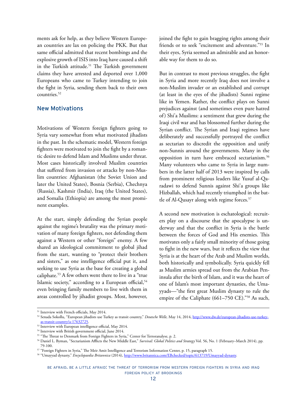ments ask for help, as they believe Western European countries are lax on policing the PKK. But that same official admitted that recent bombings and the explosive growth of ISIS into Iraq have caused a shift in the Turkish attitude.<sup>51</sup> The Turkish government claims they have arrested and deported over 1,000 Europeans who came to Turkey intending to join the fight in Syria, sending them back to their own countries.52

#### New Motivations

Motivations of Western foreign fighters going to Syria vary somewhat from what motivated jihadists in the past. In the schematic model, Western foreign fighters were motivated to join the fight by a romantic desire to defend Islam and Muslims under threat. Most cases historically involved Muslim countries that suffered from invasion or attacks by non-Muslim countries: Afghanistan (the Soviet Union and later the United States), Bosnia (Serbia), Chechnya (Russia), Kashmir (India), Iraq (the United States), and Somalia (Ethiopia) are among the most prominent examples.

At the start, simply defending the Syrian people against the regime's brutality was the primary motivation of many foreign fighters, not defending them against a Western or other "foreign" enemy. A few shared an ideological commitment to global jihad from the start, wanting to "protect their brothers and sisters," as one intelligence official put it, and seeking to use Syria as the base for creating a global caliphate.53 A few others went there to live in a "true Islamic society," according to a European official,<sup>54</sup> even bringing family members to live with them in areas controlled by jihadist groups. Most, however,

joined the fight to gain bragging rights among their friends or to seek "excitement and adventure."55 In their eyes, Syria seemed an admirable and an honorable way for them to do so.

But in contrast to most previous struggles, the fight in Syria and more recently Iraq does not involve a non-Muslim invader or an established and corrupt (at least in the eyes of the jihadists) Sunni regime like in Yemen. Rather, the conflict plays on Sunni prejudices against (and sometimes even pure hatred of) Shi'a Muslims: a sentiment that grew during the Iraqi civil war and has blossomed further during the Syrian conflict. The Syrian and Iraqi regimes have deliberately and successfully portrayed the conflict as sectarian to discredit the opposition and unify non-Sunnis around the governments. Many in the opposition in turn have embraced sectarianism.<sup>56</sup> Many volunteers who came to Syria in large numbers in the latter half of 2013 were inspired by calls from prominent religious leaders like Yusuf al-Qaradawi to defend Sunnis against Shi'a groups like Hizballah, which had recently triumphed in the battle of Al-Qusayr along with regime forces.<sup>57</sup>

A second new motivation is eschatological: recruiters play on a discourse that the apocalypse is underway and that the conflict in Syria is the battle between the forces of God and His enemies. This motivates only a fairly small minority of those going to fight in the new wars, but it reflects the view that Syria is at the heart of the Arab and Muslim worlds, both historically and symbolically. Syria quickly fell as Muslim armies spread out from the Arabian Peninsula after the birth of Islam, and it was the heart of one of Islam's most important dynasties, the Umayyads—"the first great Muslim dynasty to rule the empire of the Caliphate (661–750 CE)."58 As such,

<sup>51</sup> Interview with French officials, May 2014.

<sup>52</sup> Senada Sokollu, "European jihadists use Turkey as transit country," *Deutsche Welle,* May 14, 2014, [http://www.dw.de/european-jihadists-use-turkey](http://www.dw.de/european-jihadists-use-turkey-as-transit-country/a-17632725)[as-transit-country/a-17632725.](http://www.dw.de/european-jihadists-use-turkey-as-transit-country/a-17632725)

<sup>53</sup> Interview with European intelligence official, May 2014.

<sup>&</sup>lt;sup>54</sup> Interview with British government official, June 2014.

<sup>55 &</sup>quot;The Threat to Denmark from Foreign Fighters in Syria," Center for Terroranalyse, p. 2.

<sup>56</sup> Daniel L. Byman, "Sectarianism Afflicts the New Middle East," *Survival: Global Politics and Strategy* Vol. 56, No. 1 (February–March 2014), pp. 79-100.

<sup>57 &</sup>quot;Foreign Fighters in Syria," The Meir Amit Intelligence and Terrorism Information Center, p. 15, paragraph 15.

<sup>58 &</sup>quot;Umayyad dynasty," *Encyclopaedia Britannica* (2014), [http://www.britannica.com/EBchecked/topic/613719/Umayyad-dynasty.](http://www.britannica.com/EBchecked/topic/613719/Umayyad-dynasty)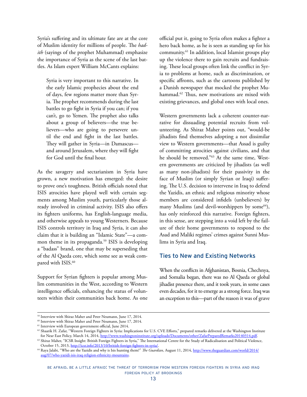Syria's suffering and its ultimate fate are at the core of Muslim identity for millions of people. The *hadith* (sayings of the prophet Muhammad) emphasize the importance of Syria as the scene of the last battles. As Islam expert William McCants explains:

Syria is very important to this narrative. In the early Islamic prophecies about the end of days, few regions matter more than Syria. The prophet recommends during the last battles to go fight in Syria if you can; if you can't, go to Yemen. The prophet also talks about a group of believers—the true believers—who are going to persevere until the end and fight in the last battles. They will gather in Syria—in Damascus and around Jerusalem, where they will fight for God until the final hour.

As the savagery and sectarianism in Syria have grown, a new motivation has emerged: the desire to prove one's toughness. British officials noted that ISIS atrocities have played well with certain segments among Muslim youth, particularly those already involved in criminal activity. ISIS also offers its fighters uniforms, has English-language media, and otherwise appeals to young Westerners. Because ISIS controls territory in Iraq and Syria, it can also claim that it is building an "Islamic State"—a common theme in its propaganda.<sup>59</sup> ISIS is developing a "badass" brand, one that may be superseding that of the Al Qaeda core, which some see as weak compared with ISIS.<sup>60</sup>

Support for Syrian fighters is popular among Muslim communities in the West, according to Western intelligence officials, enhancing the status of volunteers within their communities back home. As one official put it, going to Syria often makes a fighter a hero back home, as he is seen as standing up for his community.61 In addition, local Islamist groups play up the violence there to gain recruits and fundraising. These local groups often link the conflict in Syria to problems at home, such as discrimination, or specific affronts, such as the cartoons published by a Danish newspaper that mocked the prophet Muhammad.<sup>62</sup> Thus, new motivations are mixed with existing grievances, and global ones with local ones.

Western governments lack a coherent counter-narrative for dissuading potential recruits from volunteering. As Shiraz Maher points out, "would-be jihadists find themselves adopting a not dissimilar view to Western governments—that Assad is guilty of committing atrocities against civilians, and that he should be removed."63 At the same time, Western governments are criticized by jihadists (as well as many non-jihadists) for their passivity in the face of Muslim (or simply Syrian or Iraqi) suffering. The U.S. decision to intervene in Iraq to defend the Yazidis, an ethnic and religious minority whose members are considered infidels (unbelievers) by many Muslims (and devil-worshippers by some<sup>64</sup>), has only reinforced this narrative. Foreign fighters, in this sense, are stepping into a void left by the failure of their home governments to respond to the Asad and Maliki regimes' crimes against Sunni Muslims in Syria and Iraq.

## Ties to New and Existing Networks

When the conflicts in Afghanistan, Bosnia, Chechnya, and Somalia began, there was no Al Qaeda or global jihadist presence there, and it took years, in some cases even decades, for it to emerge as a strong force. Iraq was an exception to this—part of the reason it was of grave

<sup>59</sup> Interview with Shiraz Maher and Peter Neumann, June 17, 2014.

<sup>&</sup>lt;sup>60</sup> Interview with Shiraz Maher and Peter Neumann, June 17, 2014.

<sup>61</sup> Interview with European government official, June 2014.

<sup>&</sup>lt;sup>62</sup> Shaarik H. Zafar, "Western Foreign Fighters in Syria: Implications for U.S. CVE Efforts," prepared remarks delivered at the Washington Institute

for Near East Policy, March 14, 2014, <u>http://www.washingtoninstitute.org/uploads/Documents/other/ZafarPreparedRemarks20140314.pdf.</u><br><sup>63</sup> Shiraz Maher, "ICSR Insight: British Foreign Fighters in Syria," The International C

<sup>&</sup>lt;sup>64</sup> Raya Jalabi, "Who are the Yazidis and why is Isis hunting them?" *The Guardian*, August 11, 2014, [http://www.theguardian.com/world/2014/](http://www.theguardian.com/world/2014/aug/07/who-yazidi-isis-iraq-religion-ethnicity-mountains) [aug/07/who-yazidi-isis-iraq-religion-ethnicity-mountains.](http://www.theguardian.com/world/2014/aug/07/who-yazidi-isis-iraq-religion-ethnicity-mountains)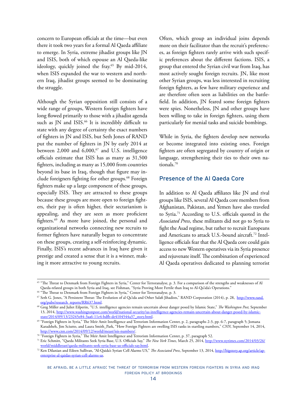concern to European officials at the time—but even there it took two years for a formal Al Qaeda affiliate to emerge. In Syria, extreme jihadist groups like JN and ISIS, both of which espouse an Al Qaeda-like ideology, quickly joined the fray.<sup>65</sup> By mid-2014, when ISIS expanded the war to western and northern Iraq, jihadist groups seemed to be dominating the struggle.

Although the Syrian opposition still consists of a wide range of groups, Western foreign fighters have long flowed primarily to those with a jihadist agenda such as JN and ISIS.<sup>66</sup> It is incredibly difficult to state with any degree of certainty the exact numbers of fighters in JN and ISIS, but Seth Jones of RAND put the number of fighters in JN by early 2014 at between 2,000 and  $6,000$ ,  $67$  and U.S. intelligence officials estimate that ISIS has as many as 31,500 fighters, including as many as 15,000 from countries beyond its base in Iraq, though that figure may include foreigners fighting for other groups.<sup>68</sup> Foreign fighters make up a large component of these groups, especially ISIS. They are attracted to these groups because these groups are more open to foreign fighters, their pay is often higher, their sectarianism is appealing, and they are seen as more proficient fighters.69 As more have joined, the personal and organizational networks connecting new recruits to former fighters have naturally begun to concentrate on these groups, creating a self-reinforcing dynamic. Finally, ISIS's recent advances in Iraq have given it prestige and created a sense that it is a winner, making it more attractive to young recruits.

Often, which group an individual joins depends more on their facilitator than the recruit's preferences, as foreign fighters rarely arrive with such specific preferences about the different factions. ISIS, a group that entered the Syrian civil war from Iraq, has most actively sought foreign recruits. JN, like most other Syrian groups, was less interested in recruiting foreign fighters, as few have military experience and are therefore often seen as liabilities on the battlefield. In addition, JN feared some foreign fighters were spies. Nonetheless, JN and other groups have been willing to take in foreign fighters, using them particularly for menial tasks and suicide bombings.

While in Syria, the fighters develop new networks or become integrated into existing ones. Foreign fighters are often segregated by country of origin or language, strengthening their ties to their own nationals.70

### Presence of the Al Qaeda Core

In addition to Al Qaeda affiliates like JN and rival groups like ISIS, several Al Qaeda core members from Afghanistan, Pakistan, and Yemen have also traveled to Syria.71 According to U.S. officials quoted in the *Associated Press*, these militants did not go to Syria to fight the Asad regime, but rather to recruit Europeans and Americans to attack U.S.-bound aircraft.72 Intelligence officials fear that the Al Qaeda core could gain access to new Western operatives via its Syria presence and rejuvenate itself. The combination of experienced Al Qaeda operatives dedicated to planning terrorist

<sup>65</sup> "The Threat to Denmark from Foreign Fighters in Syria," Center for Terroranalyse, p. 3. For a comparison of the strengths and weaknesses of Al Qaeda-related groups in both Syria and Iraq, see Fishman, "Syria Proving More Fertile than Iraq to Al-Qa'ida's Operations."

<sup>&</sup>lt;sup>66</sup> "The Threat to Denmark from Foreign Fighters in Syria," Center for Terroranalyse, p. 3.

<sup>&</sup>lt;sup>67</sup> Seth G. Jones, "A Persistent Threat: The Evolution of al Qa'ida and Other Salafi Jihadists," RAND Corporation (2014), p. 28, [http://www.rand.](http://www.rand.org/pubs/research_reports/RR637.html)

[org/pubs/research\\_reports/RR637.html.](http://www.rand.org/pubs/research_reports/RR637.html) 68 Greg Miller and Juliet Eilperin, "U.S. intelligence agencies remain uncertain about danger posed by Islamic State," *The Washington Post,* September 13, 2014, [http://www.washingtonpost.com/world/national-security/us-intelligence-agencies-remain-uncertain-about-danger-posed-by-islamic-](http://www.washingtonpost.com/world/national-security/us-intelligence-agencies-remain-uncertain-about-danger-posed-by-islamic-state/2014/09/13/23245e84-3aa6-11e4-bdfb-de4104544a37_story.html)

<sup>&</sup>lt;sup>69</sup> "Foreign Fighters in Syria," The Meir Amit Intelligence and Terrorism Information Center, p. 2, paragraphs 2-3, pp. 6-7, paragraph 5; Jomana Karadsheh, Jim Sciutto, and Laura Smith\_Park, "How Foreign Fighters are swelling ISIS ranks in startling numbers," *CNN*, September 14, 2014, http://www.cnn.com/2014/09/12/world/meast/isis-numbers/.

 $n^{\circ}$  "Foreign Fighters in Syria," The Meir Amit Intelligence and Terrorism Information Center, p. 37, paragraph 52.

<sup>71</sup> Eric Schmitt, "Qaeda Militants Seek Syria Base, U.S. Officials Say," *The New York Times,* March 25, 2014, [http://www.nytimes.com/2014/03/26/](http://www.nytimes.com/2014/03/26/world/middleeast/qaeda-militants-seek-syria-base-us-officials-say.html?_r=1) [world/middleeast/qaeda-militants-seek-syria-base-us-officials-say.html.](http://www.nytimes.com/2014/03/26/world/middleeast/qaeda-militants-seek-syria-base-us-officials-say.html?_r=1)

<sup>72</sup> Ken Dilanian and Eileen Sullivan, "Al-Qaida's Syrian Cell Alarms US," *The Associated Press*, September 13, 2014, [http://bigstory.ap.org/article/ap](http://bigstory.ap.org/article/ap-enterprise-al-qaidas-syrian-cell-alarms-us)[enterprise-al-qaidas-syrian-cell-alarms-us.](http://bigstory.ap.org/article/ap-enterprise-al-qaidas-syrian-cell-alarms-us)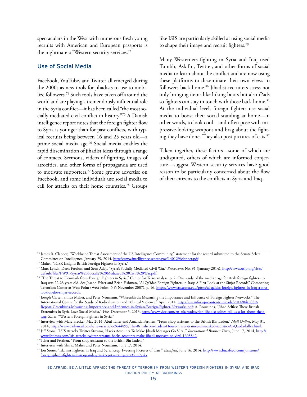spectaculars in the West with numerous fresh young recruits with American and European passports is the nightmare of Western security services.<sup>73</sup>

#### Use of Social Media

Facebook, YouTube, and Twitter all emerged during the 2000s as new tools for jihadists to use to mobilize followers.74 Such tools have taken off around the world and are playing a tremendously influential role in the Syria conflict—it has been called "the most socially mediated civil conflict in history."75 A Danish intelligence report notes that the foreign fighter flow to Syria is younger than for past conflicts, with typical recruits being between 16 and 25 years old—a prime social media age.76 Social media enables the rapid dissemination of jihadist ideas through a range of contacts. Sermons, videos of fighting, images of atrocities, and other forms of propaganda are used to motivate supporters.77 Some groups advertise on Facebook, and some individuals use social media to call for attacks on their home countries.<sup>78</sup> Groups

like ISIS are particularly skilled at using social media to shape their image and recruit fighters.79

Many Westerners fighting in Syria and Iraq used Tumblr, <Ask.fm>, Twitter, and other forms of social media to learn about the conflict and are now using these platforms to disseminate their own views to followers back home.<sup>80</sup> Jihadist recruiters stress not only bringing items like hiking boots but also iPads so fighters can stay in touch with those back home.<sup>81</sup> At the individual level, foreign fighters use social media to boost their social standing at home—in other words, to look cool—and often pose with impressive-looking weapons and brag about the fighting they have done. They also post pictures of cats.<sup>82</sup>

Taken together, these factors—some of which are undisputed, others of which are informed conjecture—suggest Western security services have good reason to be particularly concerned about the flow of their citizens to the conflicts in Syria and Iraq.

<sup>73</sup> James R. Clapper, "Worldwide Threat Assessment of the US Intelligence Community," statement for the record submitted to the Senate Select Committee on Intelligence, January 29, 2014, [http://www.intelligence.senate.gov/140129/clapper.pdf.](http://www.intelligence.senate.gov/140129/clapper.pdf)

<sup>74</sup> Maher, "ICSR Insight: British Foreign Fighters in Syria."

<sup>75</sup> Marc Lynch, Deen Freelon, and Sean Aday, "Syria's Socially Mediated Civil War," *Peaceworks* No. 91 (January 2014), [http://www.usip.org/sites/](http://www.usip.org/sites/default/files/PW91-Syrias%20Socially%20Mediated%20Civil%20War.pdf) [default/files/PW91-Syrias%20Socially%20Mediated%20Civil%20War.pdf.](http://www.usip.org/sites/default/files/PW91-Syrias%20Socially%20Mediated%20Civil%20War.pdf)

 $76$  "The Threat to Denmark from Foreign Fighters in Syria," Center for Terroranalyse, p. 2. One study of the median age for Arab foreign fighters to Iraq was 22-23 years old. See Joseph Felter and Brian Fishman, "Al Qa'ida's Foreign Fighters in Iraq: A First Look at the Sinjar Records" Combating Terrorism Center at West Point (West Point, NY: November 2007), p. 16, [https://www.ctc.usma.edu/posts/al-qaidas-foreign-fighters-in-iraq-a-first](https://www.ctc.usma.edu/posts/al-qaidas-foreign-fighters-in-iraq-a-first-look-at-the-sinjar-records)[look-at-the-sinjar-records](https://www.ctc.usma.edu/posts/al-qaidas-foreign-fighters-in-iraq-a-first-look-at-the-sinjar-records).

 $\%$  Joseph Carter, Shiraz Maher, and Peter Neumann, "#Greenbirds: Measuring the Importance and Influence of Foreign Fighter Networks," The International Centre for the Study of Radicalisation and Political Violence," April 2014, [http://icsr.info/wp-content/uploads/2014/04/ICSR-](http://icsr.info/wp-content/uploads/2014/04/ICSR-Report-Greenbirds-Measuring-Importance-and-Infleunce-in-Syrian-Foreign-Fighter-Networks.pdf)[Report-Greenbirds-Measuring-Importance-and-Infleunce-in-Syrian-Foreign-Fighter-Networks.pdf;](http://icsr.info/wp-content/uploads/2014/04/ICSR-Report-Greenbirds-Measuring-Importance-and-Infleunce-in-Syrian-Foreign-Fighter-Networks.pdf) A. Roussinos, "Jihad Selfies: These British Extremists in Syria Love Social Media," *Vice*, December 5, 2013, http://www.vice.com/en\_uk/read/syrian-jihadist-selfies-tell-us-a-lot-about-their-<br>war; Zafar, "Western Foreign Fighters in Syria."

<sup>&</sup>lt;sup>78</sup> Interview with Marc Hecker, May 2014; Abul Taher and Amanda Perthen, "From shop assistant to the British Bin Laden," *Mail Online*, May 31, 2014,<http://www.dailymail.co.uk/news/article-2644895/The-British-Bin-Laden-House-Fraser-trainee-unmasked-sadistic-Al-Qaeda-killer.html>.

<sup>79</sup> Jeff Stone, "ISIS Attacks Twitter Streams, Hacks Accounts To Make Jihadi Messages Go Viral," *International Business Times*, June 17, 2014, [http://](http://www.ibtimes.com/isis-attacks-twitter-streams-hacks-accounts-make-jihadi-message-go-viral-1603842) [www.ibtimes.com/isis-attacks-twitter-streams-hacks-accounts-make-jihadi-message-go-viral-1603842](http://www.ibtimes.com/isis-attacks-twitter-streams-hacks-accounts-make-jihadi-message-go-viral-1603842).

<sup>80</sup> Taher and Perthen, "From shop assistant to the British Bin Laden."

<sup>&</sup>lt;sup>81</sup> Interview with Shiraz Maher and Peter Neumann, June 17, 2014.

<sup>82</sup> Jon Stone, "Islamist Fighters in Iraq and Syria Keep Tweeting Pictures of Cats," Buzzfeed, June 16, 2014, http://www.buzzfeed.com/jonstone/ foreign-jihadi-fighters-in-iraq-and-syria-keep-tweeting-pict#2m9yskx.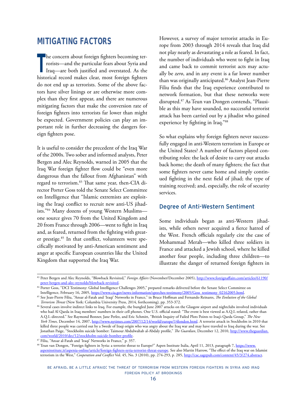## <span id="page-18-0"></span>**MITIGATING FACTORS**

The concern about foreign fighters becoming ter-<br>
rorists—and the particular fears about Syria and<br>
Iraq—are both justified and overstated. As the rorists—and the particular fears about Syria and Iraq—are both justified and overstated. As the historical record makes clear, most foreign fighters do not end up as terrorists. Some of the above factors have silver linings or are otherwise more complex than they first appear, and there are numerous mitigating factors that make the conversion rate of foreign fighters into terrorists far lower than might be expected. Government policies can play an important role in further decreasing the dangers foreign fighters pose.

It is useful to consider the precedent of the Iraq War of the 2000s. Two sober and informed analysts, Peter Bergen and Alec Reynolds, warned in 2005 that the Iraq War foreign fighter flow could be "even more dangerous than the fallout from Afghanistan" with regard to terrorism.83 That same year, then-CIA director Porter Goss told the Senate Select Committee on Intelligence that "Islamic extremists are exploiting the Iraqi conflict to recruit new anti-US jihadists."84 Many dozens of young Western Muslims one source gives 70 from the United Kingdom and 20 from France through 2006—went to fight in Iraq and, as feared, returned from the fighting with greater prestige.<sup>85</sup> In that conflict, volunteers were specifically motivated by anti-American sentiment and anger at specific European countries like the United Kingdom that supported the Iraq War.

However, a survey of major terrorist attacks in Europe from 2003 through 2014 reveals that Iraq did not play nearly as devastating a role as feared. In fact, the number of individuals who went to fight in Iraq and came back to commit terrorist acts may actually be *zero*, and in any event is a far lower number than was originally anticipated.<sup>86</sup> Analyst Jean-Pierre Filiu finds that the Iraq experience contributed to network formation, but that these networks were disrupted.87 As Teun van Dongen contends, "Plausible as this may have sounded, no successful terrorist attack has been carried out by a jihadist who gained experience by fighting in Iraq."88

So what explains why foreign fighters never successfully engaged in anti-Western terrorism in Europe or the United States? A number of factors played contributing roles: the lack of desire to carry out attacks back home; the death of many fighters; the fact that some fighters never came home and simply continued fighting in the next field of jihad; the type of training received; and, especially, the role of security services.

#### Degree of Anti-Western Sentiment

Some individuals began as anti-Western jihadists, while others never acquired a fierce hatred of the West. French officials regularly cite the case of Mohammad Merah—who killed three soldiers in France and attacked a Jewish school, where he killed another four people, including three children—to illustrate the danger of returned foreign fighters in

<sup>83</sup> Peter Bergen and Alec Reynolds, "Blowback Revisited," *Foreign Affairs* (November/December 2005), [http://www.foreignaffairs.com/articles/61190/](http://www.foreignaffairs.com/articles/61190/peter-bergen-and-alec-reynolds/blowback-revisited) [peter-bergen-and-alec-reynolds/blowback-revisited](http://www.foreignaffairs.com/articles/61190/peter-bergen-and-alec-reynolds/blowback-revisited).

<sup>84</sup> Porter Goss, "DCI Testimony: Global Intelligence Challenges 2005," prepared remarks delivered before the Senate Select Committee on

Intelligence, February 16, 2005, [https://www.cia.gov/news-information/speeches-testimony/2005/Goss\\_testimony\\_02162005.html.](https://www.cia.gov/news-information/speeches-testimony/2005/Goss_testimony_02162005.html)<br><sup>85</sup> See Jean-Pierre Filiu, "Ansar al-Fatah and 'Iraqi' Networks in France," in Bruce Hoffman and

Terrorism Threat (New York: Columbia University Press, 2014, forthcoming), pp. 353-372.<br><sup>86</sup> Several cases involve indirect links to Iraq. For example, the bungled June 2007 attacks on the Glasgow airport and nightclubs in who had Al Qaeda in Iraq members' numbers in their cell phones. One U.S. official stated: "The event is best viewed as A.Q.I.-related, rather than A.Q.I.-directed." See Raymond Bonner, Jane Perlez, and Eric Schmitt, "British Inquiry of Failed Plots Points to Iraq's Qaeda Group," *The New York Times,* December 14, 2007, [http://www.nytimes.com/2007/12/14/world/europe/14london.html.](http://www.nytimes.com/2007/12/14/world/europe/14london.html) A terrorist attack in Stockholm in 2010 that killed three people was carried out by a Swede of Iraqi origin who was angry about the Iraq war and may have traveled to Iraq during the war. See Jonathan Paige, "Stockholm suicide bomber: Taimour Abdulwahab al-Abdaly profile," *The Guardian*, December 12, 2010, [http://www.theguardian.](http://www.theguardian.com/world/2010/dec/12/stockholm-suicide-bomber-profile)

 $87$  Filiu, "Ansar al-Fatah and 'Iraqi' Networks in France," p. 357.

<sup>88</sup> Teun van Dongen, "Foreign fighters in Syria: a terrorist threat to Europe?" Aspen Institute Italia, April 11, 2013, paragraph 7, [https://www.](https://www.aspeninstitute.it/aspenia-online/article/foreign-fighters-syria-terrorist-threat-europe) [aspeninstitute.it/aspenia-online/article/foreign-fighters-syria-terrorist-threat-europe.](https://www.aspeninstitute.it/aspenia-online/article/foreign-fighters-syria-terrorist-threat-europe) See also Martin Harrow, "The effect of the Iraq war on Islamist terrorism in the West," *Cooperation and Conflict* Vol. 45, No. 3 (2010), pp. 274-293, p. 285, [http://cac.sagepub.com/content/45/3/274.abstract.](http://cac.sagepub.com/content/45/3/274.abstract)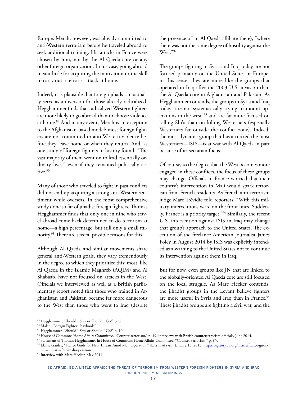Europe. Merah, however, was already committed to anti-Western terrorism before he traveled abroad to seek additional training. His attacks in France were chosen by him, not by the Al Qaeda core or any other foreign organization. In his case, going abroad meant little for acquiring the motivation or the skill to carry out a terrorist attack at home.

Indeed, it is plausible that foreign jihads can actually serve as a diversion for those already radicalized. Hegghammer finds that radicalized Western fighters are more likely to go abroad than to choose violence at home.89 And in any event, Merah is an exception to the Afghanistan-based model: most foreign fighters are not committed to anti-Western violence before they leave home or when they return. And, as one study of foreign fighters in history found, "The vast majority of them went on to lead essentially ordinary lives," even if they remained politically active.90

Many of those who traveled to fight in past conflicts did not end up acquiring a strong anti-Western sentiment while overseas. In the most comprehensive study done so far of jihadist foreign fighters, Thomas Hegghammer finds that only one in nine who travel abroad come back determined to do terrorism at home—a high percentage, but still only a small minority.91 There are several possible reasons for this.

Although Al Qaeda and similar movements share general anti-Western goals, they vary tremendously in the degree to which they prioritize this: most, like Al Qaeda in the Islamic Maghreb (AQIM) and Al Shabaab, have not focused on attacks in the West. Officials we interviewed as well as a British parliamentary report noted that those who trained in Afghanistan and Pakistan became far more dangerous to the West than those who went to Iraq (despite

the presence of an Al Qaeda affiliate there), "where there was not the same degree of hostility against the West."92

The groups fighting in Syria and Iraq today are not focused primarily on the United States or Europe: in this sense, they are more like the groups that operated in Iraq after the 2003 U.S. invasion than the Al Qaeda core in Afghanistan and Pakistan. As Hegghammer contends, the groups in Syria and Iraq today "are not systematically trying to mount operations in the west"<sup>93</sup> and are far more focused on killing Shi'a than on killing Westerners (especially Westerners far outside the conflict zone). Indeed, the most dynamic group that has attracted the most Westerners—ISIS—is at war with Al Qaeda in part because of its sectarian focus.

Of course, to the degree that the West becomes more engaged in these conflicts, the focus of these groups may change. Officials in France worried that their country's intervention in Mali would spark terrorism from French residents. As French anti-terrorism judge Marc Trévidic told reporters, "With this military intervention, we're on the front lines. Suddenly, France is a priority target."94 Similarly, the recent U.S. intervention against ISIS in Iraq may change that group's approach to the United States. The execution of the freelance American journalist James Foley in August 2014 by ISIS was explicitly intended as a warning to the United States not to continue its intervention against them in Iraq.

But for now, even groups like JN that are linked to the globally-oriented Al Qaeda core are still focused on the local struggle. As Marc Hecker contends, the jihadist groups in the Levant believe fighters are more useful in Syria and Iraq than in France.<sup>95</sup> These jihadist groups are fighting a civil war, and the

<sup>89</sup> Hegghammer, "Should I Stay or Should I Go?" p. 6.

<sup>90</sup> Malet, "Foreign Fighters Playbook."

<sup>91</sup> Hegghammer, "Should I Stay or Should I Go?" p. 10.

<sup>92</sup> House of Commons Home Affairs Committee, "Counter-terrorism," p. 19; interviews with British counterterrorism officials, June 2014.

<sup>93</sup> Statement of Thomas Hegghammer in House of Commons Home Affairs Committee, "Counter-terrorism," p. 85.

<sup>94</sup> Elaine Ganley, "France Girds for New Threats Amid Mali Operation," *Associated Press,* January 15, 2013, [http://bigstory.ap.org/article/france-](http://bigstory.ap.org/article/france)girdsnew-threats-after-mali-operation

<sup>&</sup>lt;sup>95</sup> Interview with Marc Hecker, May 2014.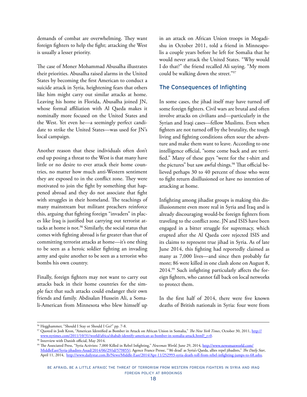demands of combat are overwhelming. They want foreign fighters to help the fight; attacking the West is usually a lesser priority.

The case of Moner Mohammad Abusalha illustrates their priorities. Abusalha raised alarms in the United States by becoming the first American to conduct a suicide attack in Syria, heightening fears that others like him might carry out similar attacks at home. Leaving his home in Florida, Abusalha joined JN, whose formal affiliation with Al Qaeda makes it nominally more focused on the United States and the West. Yet even he—a seemingly perfect candidate to strike the United States—was used for JN's local campaign.

Another reason that these individuals often don't end up posing a threat to the West is that many have little or no desire to ever attack their home countries, no matter how much anti-Western sentiment they are exposed to in the conflict zone. They were motivated to join the fight by something that happened abroad and they do not associate that fight with struggles in their homeland. The teachings of many mainstream but militant preachers reinforce this, arguing that fighting foreign "invaders" in places like Iraq is justified but carrying out terrorist attacks at home is not.<sup>96</sup> Similarly, the social status that comes with fighting abroad is far greater than that of committing terrorist attacks at home—it's one thing to be seen as a heroic soldier fighting an invading army and quite another to be seen as a terrorist who bombs his own country.

Finally, foreign fighters may not want to carry out attacks back in their home countries for the simple fact that such attacks could endanger their own friends and family. Abdisalan Hussein Ali, a Somali-American from Minnesota who blew himself up in an attack on African Union troops in Mogadishu in October 2011, told a friend in Minneapolis a couple years before he left for Somalia that he would never attack the United States. "Why would I do that?" the friend recalled Ali saying. "My mom could be walking down the street."97

## The Consequences of Infighting

In some cases, the jihad itself may have turned off some foreign fighters. Civil wars are brutal and often involve attacks on civilians and—particularly in the Syrian and Iraqi cases—fellow Muslims. Even when fighters are not turned off by the brutality, the tough living and fighting conditions often sour the adventure and make them want to leave. According to one intelligence official, "some come back and are terrified." Many of these guys "went for the t-shirt and the pictures" but saw awful things.<sup>98</sup> That official believed perhaps 30 to 40 percent of those who went to fight return disillusioned or have no intention of attacking at home.

Infighting among jihadist groups is making this disillusionment even more real in Syria and Iraq and is already discouraging would-be foreign fighters from traveling to the conflict zone. JN and ISIS have been engaged in a bitter struggle for supremacy, which erupted after the Al Qaeda core rejected ISIS and its claims to represent true jihad in Syria. As of late June 2014, this fighting had reportedly claimed as many as 7,000 lives—and since then probably far more; 86 were killed in one clash alone on August 8, 2014.99 Such infighting particularly affects the foreign fighters, who cannot fall back on local networks to protect them.

In the first half of 2014, there were five known deaths of British nationals in Syria: four were from

<sup>96</sup> Hegghammer, "Should I Stay or Should I Go?" pp. 7-8.

<sup>97</sup> Quoted in Josh Kron, "American Identified as Bomber in Attack on African Union in Somalia," *The New York Times*, October 30, 2011, [http://](http://www.nytimes.com/2011/10/31/world/africa/shabab-identify-american-as-bomber-in-somalia-attack.html?_r=0) [www.nytimes.com/2011/10/31/world/africa/shabab-identify-american-as-bomber-in-somalia-attack.html?\\_r=0.](http://www.nytimes.com/2011/10/31/world/africa/shabab-identify-american-as-bomber-in-somalia-attack.html?_r=0) 98 Interview with Danish official, May 2014.

<sup>99</sup> The Associated Press, "Syria Activists: 7,000 Killed in Rebel Infighting," *Newsmax World*, June 29, 2014, [http://www.newsmaxworld.com/](http://www.newsmaxworld.com/MiddleEast/Syria-jihadists-Assad/2014/06/29/id/579855/) [MiddleEast/Syria-jihadists-Assad/2014/06/29/id/579855/;](http://www.newsmaxworld.com/MiddleEast/Syria-jihadists-Assad/2014/06/29/id/579855/) Agence France Presse, "'86 dead' as Syria's Qaeda, allies repel jihadists," *The Daily Star*, April 11, 2014, [http://www.dailystar.com.lb/News/Middle-East/2014/Apr-11/252993-syria-death-toll-from-rebel-infighting-jumps-to-68.ashx.](http://www.dailystar.com.lb/News/Middle-East/2014/Apr-11/252993-syria-death-toll-from-rebel-infighting-jumps-to-68.ashx)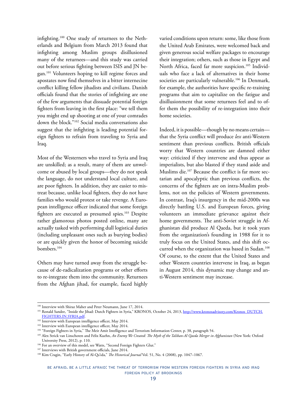infighting.100 One study of returnees to the Netherlands and Belgium from March 2013 found that infighting among Muslim groups disillusioned many of the returnees—and this study was carried out before serious fighting between ISIS and JN began.101 Volunteers hoping to kill regime forces and apostates now find themselves in a bitter internecine conflict killing fellow jihadists and civilians. Danish officials found that the stories of infighting are one of the few arguments that dissuade potential foreign fighters from leaving in the first place: "we tell them you might end up shooting at one of your comrades down the block."102 Social media conversations also suggest that the infighting is leading potential foreign fighters to refrain from traveling to Syria and Iraq.

Most of the Westerners who travel to Syria and Iraq are unskilled; as a result, many of them are unwelcome or abused by local groups—they do not speak the language, do not understand local culture, and are poor fighters. In addition, they are easier to mistreat because, unlike local fighters, they do not have families who would protest or take revenge. A European intelligence officer indicated that some foreign fighters are executed as presumed spies.<sup>103</sup> Despite rather glamorous photos posted online, many are actually tasked with performing dull logistical duties (including unpleasant ones such as burying bodies) or are quickly given the honor of becoming suicide bombers.<sup>104</sup>

Others may have turned away from the struggle because of de-radicalization programs or other efforts to re-integrate them into the community. Returnees from the Afghan jihad, for example, faced highly varied conditions upon return: some, like those from the United Arab Emirates, were welcomed back and given generous social welfare packages to encourage their integration; others, such as those in Egypt and North Africa, faced far more suspicion.<sup>105</sup> Individuals who face a lack of alternatives in their home societies are particularly vulnerable.<sup>106</sup> In Denmark, for example, the authorities have specific re-training programs that aim to capitalize on the fatigue and disillusionment that some returnees feel and to offer them the possibility of re-integration into their home societies.

Indeed, it is possible—though by no means certain that the Syria conflict will produce *less* anti-Western sentiment than previous conflicts. British officials worry that Western countries are damned either way: criticized if they intervene and thus appear as imperialists, but also blasted if they stand aside and Muslims die.107 Because the conflict is far more sectarian and apocalyptic than previous conflicts, the concerns of the fighters are on intra-Muslim problems, not on the policies of Western governments. In contrast, Iraq's insurgency in the mid-2000s was directly battling U.S. and European forces, giving volunteers an immediate grievance against their home governments. The anti-Soviet struggle in Afghanistan did produce Al Qaeda, but it took years from the organization's founding in 1988 for it to truly focus on the United States, and this shift occurred when the organization was based in Sudan.<sup>108</sup> Of course, to the extent that the United States and other Western countries intervene in Iraq, as began in August 2014, this dynamic may change and anti-Western sentiment may increase.

<sup>100</sup> Interview with Shiraz Maher and Peter Neumann, June 17, 2014.

<sup>&</sup>lt;sup>101</sup> Ronald Sandee, "Inside the Jihad: Dutch Fighters in Syria," KRONOS, October 24, 2013, [http://www.kronosadvisory.com/Kronos\\_DUTCH.](http://www.kronosadvisory.com/Kronos_DUTCH.FIGHTERS.IN.SYRIA.pdf) [FIGHTERS.IN.SYRIA.pdf.](http://www.kronosadvisory.com/Kronos_DUTCH.FIGHTERS.IN.SYRIA.pdf)

<sup>102</sup> Interview with European intelligence officer, May 2014.

<sup>103</sup> Interview with European intelligence officer, May 2014.

<sup>104 &</sup>quot;Foreign Fighters in Syria," The Meir Amit Intelligence and Terrorism Information Center, p. 38, paragraph 54.

<sup>105</sup> Alex Strick van Linschoten and Felix Kuehn, *An Enemy We Created: The Myth of the Taliban-Al Qaeda Merger in Afghanistan* (New York: Oxford University Press, 2012), p. 110.

<sup>&</sup>lt;sup>106</sup> For an overview of this model, see Watts, "Second Foreign Fighters Glut."

<sup>&</sup>lt;sup>107</sup> Interviews with British government officials, June 2014.

<sup>108</sup> Kim Cragin, "Early History of Al-Qa'ida," *The Historical Journal* Vol. 51, No. 4 (2008), pp. 1047–1067.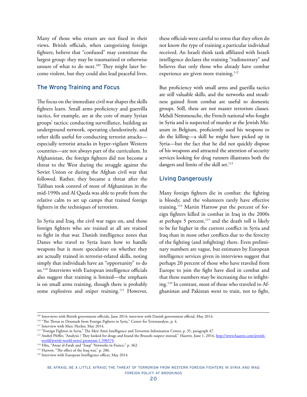Many of those who return are not fixed in their views. British officials, when categorizing foreign fighters, believe that "confused" may constitute the largest group: they may be traumatized or otherwise unsure of what to do next.<sup>109</sup> They might later become violent, but they could also lead peaceful lives.

## The Wrong Training and Focus

The focus on the immediate civil war shapes the skills fighters learn. Small arms proficiency and guerrilla tactics, for example, are at the core of many Syrian groups' tactics; conducting surveillance, building an underground network, operating clandestinely, and other skills useful for conducting terrorist attacks especially terrorist attacks in hyper-vigilant Western countries—are not always part of the curriculum. In Afghanistan, the foreign fighters did not become a threat to the West during the struggle against the Soviet Union or during the Afghan civil war that followed. Rather, they became a threat after the Taliban took control of most of Afghanistan in the mid-1990s and Al Qaeda was able to profit from the relative calm to set up camps that trained foreign fighters in the techniques of terrorism.

In Syria and Iraq, the civil war rages on, and those foreign fighters who are trained at all are trained to fight in that war. Danish intelligence notes that Danes who travel to Syria learn how to handle weapons but is more speculative on whether they are actually trained in terrorist-related skills, noting simply that individuals have an "opportunity" to do so.<sup>110</sup> Interviews with European intelligence officials also suggest that training is limited—the emphasis is on small arms training, though there is probably some explosives and sniper training.<sup>111</sup> However,

these officials were careful to stress that they often do not know the type of training a particular individual received. An Israeli think tank affiliated with Israeli intelligence declares the training "rudimentary" and believes that only those who already have combat experience are given more training.<sup>112</sup>

But proficiency with small arms and guerilla tactics are still valuable skills, and the networks and steadiness gained from combat are useful to domestic groups. Still, these are not master terrorism classes. Mehdi Nemmouche, the French national who fought in Syria and is suspected of murder at the Jewish Museum in Belgium, proficiently used his weapons to do the killing—a skill he might have picked up in Syria—but the fact that he did not quickly dispose of his weapons and attracted the attention of security services looking for drug runners illustrates both the dangers and limits of the skill set.<sup>113</sup>

### Living Dangerously

Many foreign fighters die in combat: the fighting is bloody, and the volunteers rarely have effective training.114 Martin Harrow put the percent of foreign fighters killed in combat in Iraq in the 2000s at perhaps 5 percent, $115$  and the death toll is likely to be far higher in the current conflict in Syria and Iraq than in most other conflicts due to the ferocity of the fighting (and infighting) there. Even preliminary numbers are vague, but estimates by European intelligence services given in interviews suggest that perhaps 20 percent of those who have traveled from Europe to join the fight have died in combat and that these numbers may be increasing due to infighting.116 In contrast, most of those who traveled to Afghanistan and Pakistan went to train, not to fight,

<sup>109</sup> Interviews with British government officials, June 2014; interview with Danish government official, May 2014.

 $110$  "The Threat to Denmark from Foreign Fighters in Syria," Center for Terroranalyse, p. 4.<br> $111$  Interview with Marc Hecker, May 2014.

<sup>&</sup>lt;sup>112</sup> "Foreign Fighters in Syria," The Meir Amit Intelligence and Terrorism Information Center, p. 35, paragraph 47.

<sup>113</sup> Anshel Pfeffer, "Analysis / They looked for drugs and found the Brussels suspect instead," *Haaretz,* June 1, 2014, [http://www.haaretz.com/jewish-](http://www.haaretz.com/jewish-world/jewish-world-news/.premium-1.596574)

<sup>&</sup>lt;sup>114</sup> Filiu, "Ansar al-Fatah and "Iraqi" Networks in France," p. 362.<br><sup>115</sup> Harrow, "The effect of the Iraq war," p. 286.

<sup>&</sup>lt;sup>116</sup> Interview with European Intelligence officer, May 2014.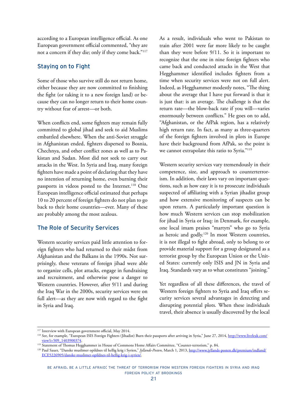according to a European intelligence official. As one European government official commented, "they are not a concern if they die; only if they come back."117

## Staying on to Fight

Some of those who survive still do not return home, either because they are now committed to finishing the fight (or taking it to a new foreign land) or because they can no longer return to their home country without fear of arrest—or both.

When conflicts end, some fighters may remain fully committed to global jihad and seek to aid Muslims embattled elsewhere. When the anti-Soviet struggle in Afghanistan ended, fighters dispersed to Bosnia, Chechnya, and other conflict zones as well as to Pakistan and Sudan. Most did not seek to carry out attacks in the West. In Syria and Iraq, many foreign fighters have made a point of declaring that they have no intention of returning home, even burning their passports in videos posted to the Internet.<sup>118</sup> One European intelligence official estimated that perhaps 10 to 20 percent of foreign fighters do not plan to go back to their home countries—ever. Many of these are probably among the most zealous.

#### The Role of Security Services

Western security services paid little attention to foreign fighters who had returned to their midst from Afghanistan and the Balkans in the 1990s. Not surprisingly, these veterans of foreign jihad were able to organize cells, plot attacks, engage in fundraising and recruitment, and otherwise pose a danger to Western countries. However, after 9/11 and during the Iraq War in the 2000s, security services were on full alert—as they are now with regard to the fight in Syria and Iraq.

As a result, individuals who went to Pakistan to train after 2001 were far more likely to be caught than they were before 9/11. So it is important to recognize that the one in nine foreign fighters who came back and conducted attacks in the West that Hegghammer identified includes fighters from a time when security services were not on full alert. Indeed, as Hegghammer modestly notes, "The thing about the average that I have put forward is that it is just that: is an average. The challenge is that the return rate—the blow-back rate if you will—varies enormously between conflicts." He goes on to add, "Afghanistan, or the AfPak region, has a relatively high return rate. In fact, as many as three-quarters of the foreign fighters involved in plots in Europe have their background from AfPak, so the point is we cannot extrapolate this ratio to Syria."119

Western security services vary tremendously in their competence, size, and approach to counterterrorism. In addition, their laws vary on important questions, such as how easy it is to prosecute individuals suspected of affiliating with a Syrian jihadist group and how extensive monitoring of suspects can be upon return. A particularly important question is how much Western services can stop mobilization for jihad in Syria or Iraq: in Denmark, for example, one local imam praises "martyrs" who go to Syria as heroic and godly.<sup>120</sup> In most Western countries, it is not illegal to fight abroad, only to belong to or provide material support for a group designated as a terrorist group by the European Union or the United States: currently only ISIS and JN in Syria and Iraq. Standards vary as to what constitutes "joining."

Yet regardless of all these differences, the travel of Western foreign fighters to Syria and Iraq offers security services several advantages in detecting and disrupting potential plots. When these individuals travel, their absence is usually discovered by the local

<sup>&</sup>lt;sup>117</sup> Interview with European government official, May 2014.

<sup>&</sup>lt;sup>118</sup> See, for example, "European ISIS Foreign Fighters (Jihadist) Burn their passports after arriving in Syria," June 27, 2014, <u>[http://www.liveleak.com/](http://www.liveleak.com/view?i=509_1403900374)</u><br>view?i=509\_1403900374.

<sup>&</sup>lt;sup>119</sup> Statement of Thomas Hegghammer in House of Commons Home Affairs Committee, "Counter-terrorism," p. 84.

<sup>&</sup>lt;sup>120</sup> Paul Sauer, "Danske muslimer opildnes til hellig krig i Syrien," *Jyllands-Posten*, March 1, 2013, [http://www.jyllands-posten.dk/premium/indland/](http://www.jyllands-posten.dk/premium/indland/ECE5226905/danske-muslimer-opildnes-til-hellig-krig-i-syrien/) [ECE5226905/danske-muslimer-opildnes-til-hellig-krig-i-syrien/.](http://www.jyllands-posten.dk/premium/indland/ECE5226905/danske-muslimer-opildnes-til-hellig-krig-i-syrien/)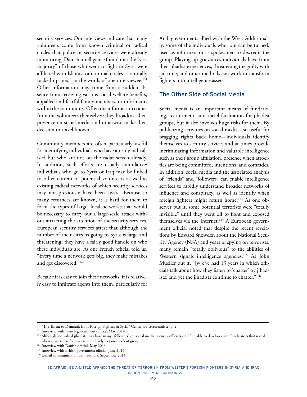security services. Our interviews indicate that many volunteers come from known criminal or radical circles that police or security services were already monitoring. Danish intelligence found that the "vast majority" of those who went to fight in Syria were affiliated with Islamist or criminal circles—"a totally fucked up mix," in the words of one interviewee.<sup>121</sup> Other information may come from a sudden absence from receiving various social welfare benefits, appalled and fearful family members, or informants within the community. Often the information comes from the volunteers themselves: they broadcast their presence on social media and otherwise make their decision to travel known.

Community members are often particularly useful for identifying individuals who have already radicalized but who are not on the radar screen already. In addition, such efforts are usually cumulative: individuals who go to Syria or Iraq may be linked to other current or potential volunteers as well as existing radical networks of which security services may not previously have been aware. Because so many returnees are known, it is hard for them to form the types of large, local networks that would be necessary to carry out a large-scale attack without attracting the attention of the security services. European security services attest that although the number of their citizens going to Syria is large and threatening, they have a fairly good handle on who these individuals are. As one French official told us, "Every time a network gets big, they make mistakes and get discovered."122

Because it is easy to join these networks, it is relatively easy to infiltrate agents into them, particularly for Arab governments allied with the West. Additionally, some of the individuals who join can be turned, used as informers or as spokesmen to discredit the group. Playing up grievances individuals have from their jihadist experiences, threatening the guilty with jail time, and other methods can work to transform fighters into intelligence assets.

## The Other Side of Social Media

Social media is an important means of fundraising, recruitment, and travel facilitation for jihadist groups, but it also involves huge risks for them. By publicizing activities on social media—so useful for bragging rights back home—individuals identify themselves to security services and at times provide incriminating information and valuable intelligence such as their group affiliation, presence when atrocities are being committed, intentions, and comrades. In addition, social media and the associated analysis of "friends" and "followers" can enable intelligence services to rapidly understand broader networks of influence and conspiracy, as well as identify when foreign fighters might return home.<sup>123</sup> As one observer put it, some potential terrorists were "totally invisible" until they went off to fight and exposed themselves via the Internet.<sup>124</sup> A European government official noted that despite the recent revelations by Edward Snowden about the National Security Agency (NSA) and years of spying on terrorists, many remain "totally oblivious" to the abilities of Western signals intelligence agencies.<sup>125</sup> As John Mueller put it, "[w]e've had 13 years in which officials talk about how they listen to 'chatter' by jihadists, and yet the jihadists continue to chatter."126

<sup>&</sup>lt;sup>121</sup> "The Threat to Denmark from Foreign Fighters in Syria," Center for Terroranalyse, p. 2.

<sup>122</sup> Interview with French government official, May 2014.

<sup>&</sup>lt;sup>123</sup> Although individual jihadists may have many "followers" on social media, security officials are often able to develop a set of indicators that reveal when a particular follower is more likely to join a violent group.

<sup>&</sup>lt;sup>124</sup> Interview with Danish official, May 2014.

<sup>&</sup>lt;sup>125</sup> Interview with British government official, June 2014.

<sup>126</sup> E-mail communication with authors, September 2014.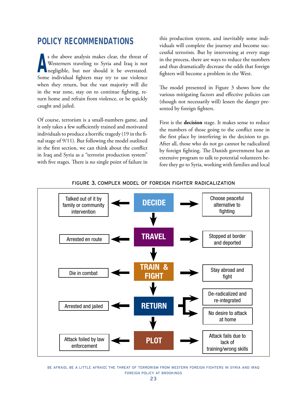## <span id="page-25-0"></span>**POLICY RECOMMENDATIONS**

**A** s the above analysis makes clear, the threat of Westerners traveling to Syria and Iraq is not negligible, but nor should it be overstated. Some individual fighters may try to use violence when they return, but the vast majority will die in the war zone, stay on to continue fighting, return home and refrain from violence, or be quickly caught and jailed.

Of course, terrorism is a small-numbers game, and it only takes a few sufficiently trained and motivated individuals to produce a horrific tragedy (19 in the final stage of 9/11). But following the model outlined in the first section, we can think about the conflict in Iraq and Syria as a "terrorist production system" with five stages. There is no single point of failure in

this production system, and inevitably some individuals will complete the journey and become successful terrorists. But by intervening at every stage in the process, there are ways to reduce the numbers and thus dramatically decrease the odds that foreign fighters will become a problem in the West.

The model presented in Figure 3 shows how the various mitigating factors and effective policies can (though not necessarily will) lessen the danger presented by foreign fighters.

First is the **decision** stage. It makes sense to reduce the numbers of those going to the conflict zone in the first place by interfering in the decision to go. After all, those who do not go cannot be radicalized by foreign fighting. The Danish government has an extensive program to talk to potential volunteers before they go to Syria, working with families and local



#### figure 3. complex model of foreign fighter radicalization

be afraid. be a little afraid: the threat of terrorism from western foreign fighters in syria and iraq foreign policy at brookings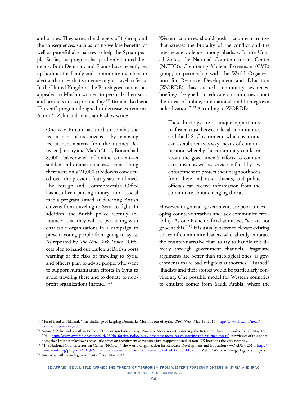authorities. They stress the dangers of fighting and the consequences, such as losing welfare benefits, as well as peaceful alternatives to help the Syrian people. So far, this program has paid only limited dividends. Both Denmark and France have recently set up hotlines for family and community members to alert authorities that someone might travel to Syria. In the United Kingdom, the British government has appealed to Muslim women to persuade their sons and brothers not to join the fray.127 Britain also has a "Prevent" program designed to decrease extremism. Aaron Y. Zelin and Jonathan Prohov write:

One way Britain has tried to combat the recruitment of its citizens is by removing recruitment material from the Internet. Between January and March 2014, Britain had 8,000 "takedowns" of online content—a sudden and dramatic increase, considering there were only 21,000 takedowns conducted over the previous four years combined. The Foreign and Commonwealth Office has also been putting money into a social media program aimed at deterring British citizens from traveling to Syria to fight. In addition, the British police recently announced that they will be partnering with charitable organizations in a campaign to prevent young people from going to Syria. As reported by *The New York Times*, "Officers plan to hand out leaflets at British ports warning of the risks of traveling to Syria, and officers plan to advise people who want to support humanitarian efforts in Syria to avoid traveling there and to donate to nonprofit organizations instead."128

Western countries should push a counter-narrative that stresses the brutality of the conflict and the internecine violence among jihadists. In the United States, the National Counterterrorism Center (NCTC)'s Countering Violent Extremism (CVE) group, in partnership with the World Organization for Resource Development and Education (WORDE), has created community awareness briefings designed "to educate communities about the threat of online, international, and homegrown radicalization."129 According to WORDE:

These briefings are a unique opportunity to foster trust between local communities and the U.S. Government, which over time can establish a two-way means of communication whereby the community can learn about the government's efforts to counter extremism, as well as services offered by law enforcement to protect their neighborhoods from these and other threats, and public officials can receive information from the community about emerging threats.

However, in general, governments are poor at developing counter-narratives and lack community credibility. As one French official admitted, "we are not good at this."130 It is usually better to elevate existing voices of community leaders who already embrace the counter-narrative than to try to handle this directly through government channels. Pragmatic arguments are better than theological ones, as governments make bad religious authorities. "Turned" jihadists and their stories would be particularly convincing. One possible model for Western countries to emulate comes from Saudi Arabia, where the

<sup>130</sup> Interview with French government official, May 2014.

<sup>127</sup> Murad Batal al-Shishani, "The challenge of keeping Denmark's Muslims out of Syria," *BBC News,* May 19, 2014, [http://www.bbc.com/news/](http://www.bbc.com/news/world-europe-27423789) [world-europe-27423789.](http://www.bbc.com/news/world-europe-27423789)

<sup>128</sup> Aaron Y. Zelin and Jonathan Prohov, "The Foreign Policy Essay: Proactive Measures—Countering the Returnee Threat," *Lawfare* (blog), May 18, 2014, <http://www.lawfareblog.com/2014/05/the-foreign-policy-essay-proactive-measures-countering-the-returnee-threat/>. A reviewer of this paper notes that Internet takedowns have little effect on recruitment as websites just reappear hosted in non-UK locations the very next day.

<sup>&</sup>lt;sup>129</sup> "The National Counterterrorism Center (NCTC)," The World Organization for Resource Development and Education (WORDE), 2014, http:// www.worde.org/programs/1013-2/the-national-counterterrorism-center-nctc/#sthash.GBdSFEkJ.dpuf; Zafar, "Western Foreign Fighters in Syria."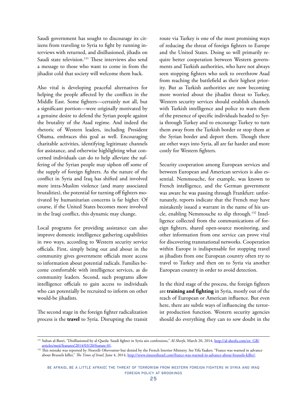Saudi government has sought to discourage its citizens from traveling to Syria to fight by running interviews with returned, and disillusioned, jihadis on Saudi state television.<sup>131</sup> These interviews also send a message to those who want to come in from the jihadist cold that society will welcome them back.

Also vital is developing peaceful alternatives for helping the people affected by the conflicts in the Middle East. Some fighters—certainly not all, but a significant portion—were originally motivated by a genuine desire to defend the Syrian people against the brutality of the Asad regime. And indeed the rhetoric of Western leaders, including President Obama, embraces this goal as well. Encouraging charitable activities, identifying legitimate channels for assistance, and otherwise highlighting what concerned individuals can do to help alleviate the suffering of the Syrian people may siphon off some of the supply of foreign fighters. As the nature of the conflict in Syria and Iraq has shifted and involved more intra-Muslim violence (and many associated brutalities), the potential for turning off fighters motivated by humanitarian concerns is far higher. Of course, if the United States becomes more involved in the Iraqi conflict, this dynamic may change.

Local programs for providing assistance can also improve domestic intelligence gathering capabilities in two ways, according to Western security service officials. First, simply being out and about in the community gives government officials more access to information about potential radicals. Families become comfortable with intelligence services, as do community leaders. Second, such programs allow intelligence officials to gain access to individuals who can potentially be recruited to inform on other would-be jihadists.

The second stage in the foreign fighter radicalization process is the **travel** to Syria. Disrupting the transit route via Turkey is one of the most promising ways of reducing the threat of foreign fighters to Europe and the United States. Doing so will primarily require better cooperation between Western governments and Turkish authorities, who have not always seen stopping fighters who seek to overthrow Asad from reaching the battlefield as their highest priority. But as Turkish authorities are now becoming more worried about the jihadist threat to Turkey, Western security services should establish channels with Turkish intelligence and police to warn them of the presence of specific individuals headed to Syria through Turkey and to encourage Turkey to turn them away from the Turkish border or stop them at the Syrian border and deport them. Though there are other ways into Syria, all are far harder and more costly for Western fighters.

Security cooperation among European services and between European and American services is also essential. Nemmouche, for example, was known to French intelligence, and the German government was aware he was passing through Frankfurt: unfortunately, reports indicate that the French may have mistakenly issued a warrant in the name of his uncle, enabling Nemmouche to slip through.<sup>132</sup> Intelligence collected from the communications of foreign fighters, shared open-source monitoring, and other information from one service can prove vital for discovering transnational networks. Cooperation within Europe is indispensable for stopping travel as jihadists from one European country often try to travel to Turkey and then on to Syria via another European country in order to avoid detection.

In the third stage of the process, the foreign fighters are **training and fighting** in Syria, mostly out of the reach of European or American influence. But even here, there are subtle ways of influencing the terrorist production function. Western security agencies should do everything they can to sow doubt in the

<sup>131</sup> Sultan al-Barei, "Disillusioned by al-Qaeda: Saudi fighter in Syria airs confessions," *Al-Shorfa,* March 20, 2014, [http://al-shorfa.com/en\\_GB/](http://al-shorfa.com/en_GB/articles/meii/features/2014/03/20/feature-01)

<sup>&</sup>lt;sup>132</sup> This mistake was reported by *Nouvelle Observateur* but denied by the French Interior Ministry. See Yifa Yaakov, "France was warned in advance about Brussels killer," *The Times of Israel,* June 4, 2014, [http://www.timesofisrael.com/france-was-warned-in-advance-about-brussels-killer/.](http://www.timesofisrael.com/france-was-warned-in-advance-about-brussels-killer/)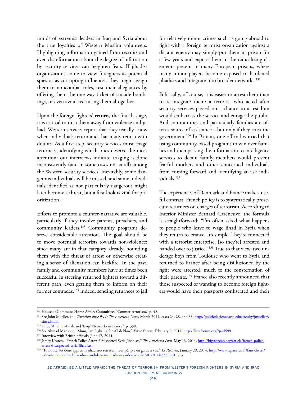minds of extremist leaders in Iraq and Syria about the true loyalties of Western Muslim volunteers. Highlighting information gained from recruits and even disinformation about the degree of infiltration by security services can heighten fears. If jihadist organizations come to view foreigners as potential spies or as corrupting influences, they might assign them to noncombat roles, test their allegiances by offering them the one-way ticket of suicide bombings, or even avoid recruiting them altogether.

Upon the foreign fighters' **return**, the fourth stage, it is critical to turn them away from violence and jihad. Western services report that they usually know when individuals return and that many return with doubts. As a first step, security services must triage returnees, identifying which ones deserve the most attention: our interviews indicate triaging is done inconsistently (and in some cases not at all) among the Western security services. Inevitably, some dangerous individuals will be missed, and some individuals identified as not particularly dangerous might later become a threat, but a first look is vital for prioritization.

Efforts to promote a counter-narrative are valuable, particularly if they involve parents, preachers, and community leaders.<sup>133</sup> Community programs deserve considerable attention. The goal should be to move potential terrorists towards non-violence; since many are in that category already, hounding them with the threat of arrest or otherwise creating a sense of alienation can backfire. In the past, family and community members have at times been successful in steering returned fighters toward a different path, even getting them to inform on their former comrades.134 Indeed, sending returnees to jail

for relatively minor crimes such as going abroad to fight with a foreign terrorist organization against a distant enemy may simply put them in prison for a few years and expose them to the radicalizing elements present in many European prisons, where many minor players become exposed to hardened jihadists and integrate into broader networks.<sup>135</sup>

Politically, of course, it is easier to arrest them than to re-integrate them: a terrorist who acted after security services passed on a chance to arrest him would embarrass the service and enrage the public. And communities and particularly families are often a source of assistance—but only if they trust the government.136 In Britain, one official worried that using community-based programs to win over families and then passing the information to intelligence services to detain family members would prevent fearful mothers and other concerned individuals from coming forward and identifying at-risk individuals.<sup>137</sup>

The experiences of Denmark and France make a useful contrast. French policy is to systematically prosecute returnees on charges of terrorism. According to Interior Minister Bernard Cazeneuve, the formula is straightforward: "I'm often asked what happens to people who leave to wage jihad in Syria when they return to France. It's simple: They're connected with a terrorist enterprise, [so they're] arrested and handed over to justice."<sup>138</sup> True to that view, two underage boys from Toulouse who went to Syria and returned to France after being disillusioned by the fight were arrested, much to the consternation of their parents.<sup>139</sup> France also recently announced that those suspected of wanting to become foreign fighters would have their passports confiscated and their

<sup>133</sup> House of Commons Home Affairs Committee, "Counter-terrorism," p. 48.

<sup>134</sup> See John Mueller, ed., *Terrorism since 9/11: The American Cases*, March 2014, cases 24, 28, and 33, [http://politicalscience.osu.edu/faculty/jmueller//](http://politicalscience.osu.edu/faculty/jmueller//since.html) [since.html](http://politicalscience.osu.edu/faculty/jmueller//since.html).

<sup>135</sup> Filiu, "Ansar al-Fatah and 'Iraqi' Networks in France," p. 358.

<sup>136</sup> See Ahmad Mansour, "Mum, I'm Fighting for Allah Now," *Fikra Forum,* February 6, 2014. [http://fikraforum.org/?p=4599.](http://fikraforum.org/?p=4599)

<sup>137</sup> Interview with British officials, June 17, 2014.

<sup>&</sup>lt;sup>138</sup> Jamey Keaten, "French Police Arrest 6 Suspected Syria Jihadists," The Associated Press, May 13, 2014, [http://bigstory.ap.org/article/french-police](http://bigstory.ap.org/article/french-police-arrest-6-suspected-syria-jihadists)[arrest-6-suspected-syria-jihadists.](http://bigstory.ap.org/article/french-police-arrest-6-suspected-syria-jihadists) 139 "Toulouse: les deux apprentis jihadistes retracent leur périple en garde à vue," *Le Parisien*, January 29, 2014, [http://www.leparisien.fr/faits-divers/](http://www.leparisien.fr/faits-divers/video-toulouse-les-deux-ados-candidats-au-jihad-en-garde-a-vue-29-01-2014-3539361.php)

[video-toulouse-les-deux-ados-candidats-au-jihad-en-garde-a-vue-29-01-2014-3539361.php](http://www.leparisien.fr/faits-divers/video-toulouse-les-deux-ados-candidats-au-jihad-en-garde-a-vue-29-01-2014-3539361.php).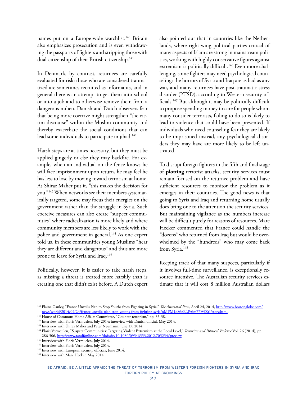names put on a Europe-wide watchlist.<sup>140</sup> Britain also emphasizes prosecution and is even withdrawing the passports of fighters and stripping those with dual-citizenship of their British citizenship.<sup>141</sup>

In Denmark, by contrast, returnees are carefully evaluated for risk: those who are considered traumatized are sometimes recruited as informants, and in general there is an attempt to get them into school or into a job and to otherwise remove them from a dangerous milieu. Danish and Dutch observers fear that being more coercive might strengthen "the victim discourse" within the Muslim community and thereby exacerbate the social conditions that can lead some individuals to participate in jihad.<sup>142</sup>

Harsh steps are at times necessary, but they must be applied gingerly or else they may backfire. For example, when an individual on the fence knows he will face imprisonment upon return, he may feel he has less to lose by moving toward terrorism at home. As Shiraz Maher put it, "this makes the decision for you."143 When networks see their members systematically targeted, some may focus their energies on the government rather than the struggle in Syria. Such coercive measures can also create "suspect communities" where radicalization is more likely and where community members are less likely to work with the police and government in general.<sup>144</sup> As one expert told us, in these communities young Muslims "hear they are different and dangerous" and thus are more prone to leave for Syria and Iraq.<sup>145</sup>

Politically, however, it is easier to take harsh steps, as missing a threat is treated more harshly than is creating one that didn't exist before. A Dutch expert also pointed out that in countries like the Netherlands, where right-wing political parties critical of many aspects of Islam are strong in mainstream politics, working with highly conservative figures against extremism is politically difficult.<sup>146</sup> Even more challenging, some fighters may need psychological counseling: the horrors of Syria and Iraq are as bad as any war, and many returnees have post-traumatic stress disorder (PTSD), according to Western security officials.147 But although it may be politically difficult to propose spending money to care for people whom many consider terrorists, failing to do so is likely to lead to violence that could have been prevented. If individuals who need counseling fear they are likely to be imprisoned instead, any psychological disorders they may have are more likely to be left untreated.

To disrupt foreign fighters in the fifth and final stage of **plotting** terrorist attacks, security services must remain focused on the returnee problem and have sufficient resources to monitor the problem as it emerges in their countries. The good news is that going to Syria and Iraq and returning home usually does bring one to the attention the security services. But maintaining vigilance as the numbers increase will be difficult purely for reasons of resources. Marc Hecker commented that France could handle the "dozens" who returned from Iraq but would be overwhelmed by the "hundreds" who may come back from Syria.<sup>148</sup>

Keeping track of that many suspects, particularly if it involves full-time surveillance, is exceptionally resource intensive. The Australian security services estimate that it will cost 8 million Australian dollars

<sup>140</sup> Elaine Ganley, "France Unveils Plan to Stop Youths from Fighting in Syria," *The Associated Press,* April 24, 2014, [http://www.bostonglobe.com/](http://www.bostonglobe.com/news/world/2014/04/24/france-unveils-plan-stop-youths-from-fighting-syria/nMPM1oS6gELPAjm77WiZrJ/story.html) [news/world/2014/04/24/france-unveils-plan-stop-youths-from-fighting-syria/nMPM1oS6gELPAjm77WiZrJ/story.html](http://www.bostonglobe.com/news/world/2014/04/24/france-unveils-plan-stop-youths-from-fighting-syria/nMPM1oS6gELPAjm77WiZrJ/story.html). 141 House of Commons Home Affairs Committee, "Counter-terrorism," pp. 35-38.

<sup>&</sup>lt;sup>142</sup> Interview with Floris Vermuelen, July 2014; interview with Danish official, May 2014.

<sup>&</sup>lt;sup>143</sup> Interview with Shiraz Maher and Peter Neumann, June 17, 2014.

<sup>144</sup> Floris Vermeulen, "Suspect Communities: Targeting Violent Extremism at the Local Level," *Terrorism and Political Violence* Vol. 26 (2014), pp. 286-306, http://www.tandfonline.com/doi/abs/10.1080/09546553.2012.705254#preview.<br><sup>145</sup> Interview with Floris Vermuelen, July 2014.<br><sup>146</sup> Interview with Floris Vermuelen, July 2014.

<sup>&</sup>lt;sup>147</sup> Interview with European security officials, June 2014.

<sup>&</sup>lt;sup>148</sup> Interview with Marc Hecker, May 2014.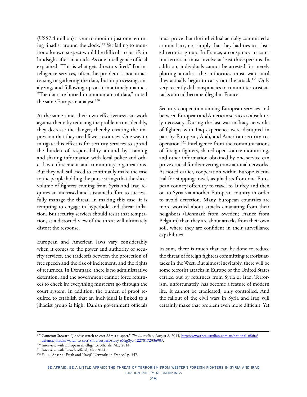(US\$7.4 million) a year to monitor just one returning jihadist around the clock.<sup>149</sup> Yet failing to monitor a known suspect would be difficult to justify in hindsight after an attack. As one intelligence official explained, "This is what gets directors fired." For intelligence services, often the problem is not in accessing or gathering the data, but in processing, analyzing, and following up on it in a timely manner. "The data are buried in a mountain of data," noted the same European analyst.<sup>150</sup>

At the same time, their own effectiveness can work against them: by reducing the problem considerably, they decrease the danger, thereby creating the impression that they need fewer resources. One way to mitigate this effect is for security services to spread the burden of responsibility around by training and sharing information with local police and other law-enforcement and community organizations. But they will still need to continually make the case to the people holding the purse strings that the sheer volume of fighters coming from Syria and Iraq requires an increased and sustained effort to successfully manage the threat. In making this case, it is tempting to engage in hyperbole and threat inflation. But security services should resist that temptation, as a distorted view of the threat will ultimately distort the response.

European and American laws vary considerably when it comes to the power and authority of security services, the tradeoffs between the protection of free speech and the risk of incitement, and the rights of returnees. In Denmark, there is no administrative detention, and the government cannot force returnees to check in; everything must first go through the court system. In addition, the burden of proof required to establish that an individual is linked to a jihadist group is high: Danish government officials

must prove that the individual actually committed a criminal act, not simply that they had ties to a listed terrorist group. In France, a conspiracy to commit terrorism must involve at least three persons. In addition, individuals cannot be arrested for merely plotting attacks—the authorities must wait until they actually begin to carry out the attack.<sup>151</sup> Only very recently did conspiracies to commit terrorist attacks abroad become illegal in France.

Security cooperation among European services and between European and American services is absolutely necessary. During the last war in Iraq, networks of fighters with Iraq experience were disrupted in part by European, Arab, and American security cooperation.152 Intelligence from the communications of foreign fighters, shared open-source monitoring, and other information obtained by one service can prove crucial for discovering transnational networks. As noted earlier, cooperation within Europe is critical for stopping travel, as jihadists from one European country often try to travel to Turkey and then on to Syria via another European country in order to avoid detection. Many European countries are more worried about attacks emanating from their neighbors (Denmark from Sweden; France from Belgium) than they are about attacks from their own soil, where they are confident in their surveillance capabilities.

In sum, there is much that can be done to reduce the threat of foreign fighters committing terrorist attacks in the West. But almost inevitably, there will be some terrorist attacks in Europe or the United States carried out by returnees from Syria or Iraq. Terrorism, unfortunately, has become a feature of modern life. It cannot be eradicated, only controlled. And the fallout of the civil wars in Syria and Iraq will certainly make that problem even more difficult. Yet

<sup>&</sup>lt;sup>149</sup> Cameron Stewart, "Jihadist watch to cost \$8m a suspect," *The Australian*, August 8, 2014, <u>[http://www.theaustralian.com.au/national-affairs/](http://www.theaustralian.com.au/national-affairs/defence/jihadist-watch-to-cost-8m-a-suspect/story-e6frg8yo-1227017233690)</u><br>defence/jihadist-watch-to-cost-8m-a-suspect/story-e6frg8yo-1227017233690#

 $\overline{150}$  Interview with European intelligence officials, May 2014.

<sup>&</sup>lt;sup>151</sup> Interview with French official, May 2014.<br><sup>152</sup> Filiu, "Ansar al-Fatah and "Iraqi" Networks in France," p. 357.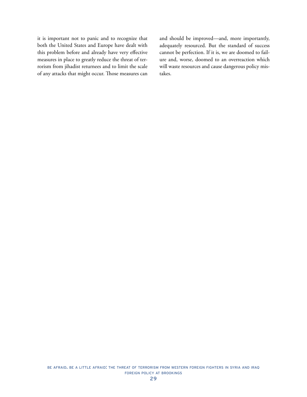it is important not to panic and to recognize that both the United States and Europe have dealt with this problem before and already have very effective measures in place to greatly reduce the threat of terrorism from jihadist returnees and to limit the scale of any attacks that might occur. Those measures can and should be improved—and, more importantly, adequately resourced. But the standard of success cannot be perfection. If it is, we are doomed to failure and, worse, doomed to an overreaction which will waste resources and cause dangerous policy mistakes.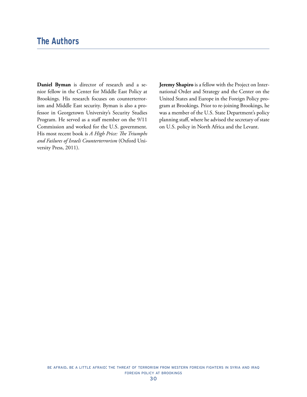<span id="page-32-0"></span>**Daniel Byman** is director of research and a senior fellow in the Center for Middle East Policy at Brookings. His research focuses on counterterrorism and Middle East security. Byman is also a professor in Georgetown University's Security Studies Program. He served as a staff member on the 9/11 Commission and worked for the U.S. government. His most recent book is *A High Price: The Triumphs and Failures of Israeli Counterterrorism* (Oxford University Press, 2011).

**Jeremy Shapiro** is a fellow with the Project on International Order and Strategy and the Center on the United States and Europe in the Foreign Policy program at Brookings. Prior to re-joining Brookings, he was a member of the U.S. State Department's policy planning staff, where he advised the secretary of state on U.S. policy in North Africa and the Levant.